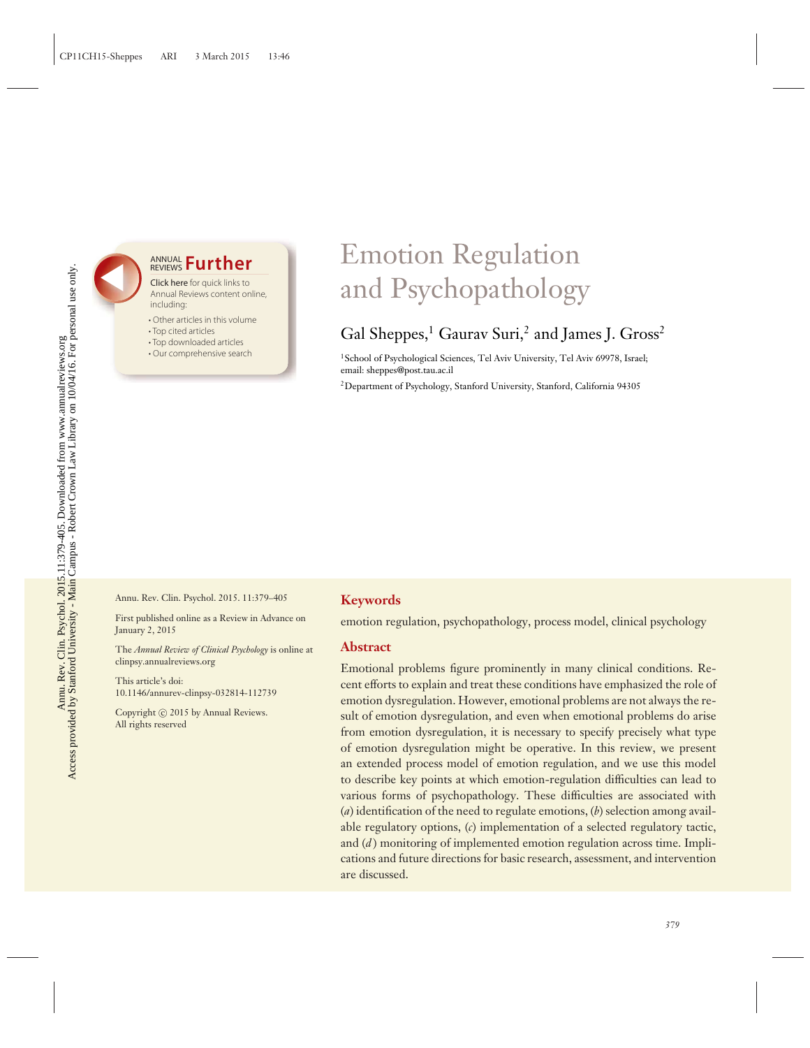## **ANNUAL Further**

Click here for quick links to Annual Reviews content online, including:

- Other articles in this volume
- Top cited articles
- Top downloaded articles
- Our comprehensive search

# Emotion Regulation and Psychopathology

## Gal Sheppes,<sup>1</sup> Gaurav Suri,<sup>2</sup> and James J. Gross<sup>2</sup>

<sup>1</sup>School of Psychological Sciences, Tel Aviv University, Tel Aviv 69978, Israel; email: sheppes@post.tau.ac.il

2Department of Psychology, Stanford University, Stanford, California 94305

Annu. Rev. Clin. Psychol. 2015. 11:379–405

First published online as a Review in Advance on January 2, 2015

The *Annual Review of Clinical Psychology* is online at clinpsy.annualreviews.org

This article's doi: 10.1146/annurev-clinpsy-032814-112739

Copyright © 2015 by Annual Reviews. All rights reserved

#### **Keywords**

emotion regulation, psychopathology, process model, clinical psychology

#### **Abstract**

Emotional problems figure prominently in many clinical conditions. Recent efforts to explain and treat these conditions have emphasized the role of emotion dysregulation. However, emotional problems are not always the result of emotion dysregulation, and even when emotional problems do arise from emotion dysregulation, it is necessary to specify precisely what type of emotion dysregulation might be operative. In this review, we present an extended process model of emotion regulation, and we use this model to describe key points at which emotion-regulation difficulties can lead to various forms of psychopathology. These difficulties are associated with (*a*) identification of the need to regulate emotions, (*b*) selection among available regulatory options, (*c*) implementation of a selected regulatory tactic, and (*d*) monitoring of implemented emotion regulation across time. Implications and future directions for basic research, assessment, and intervention are discussed.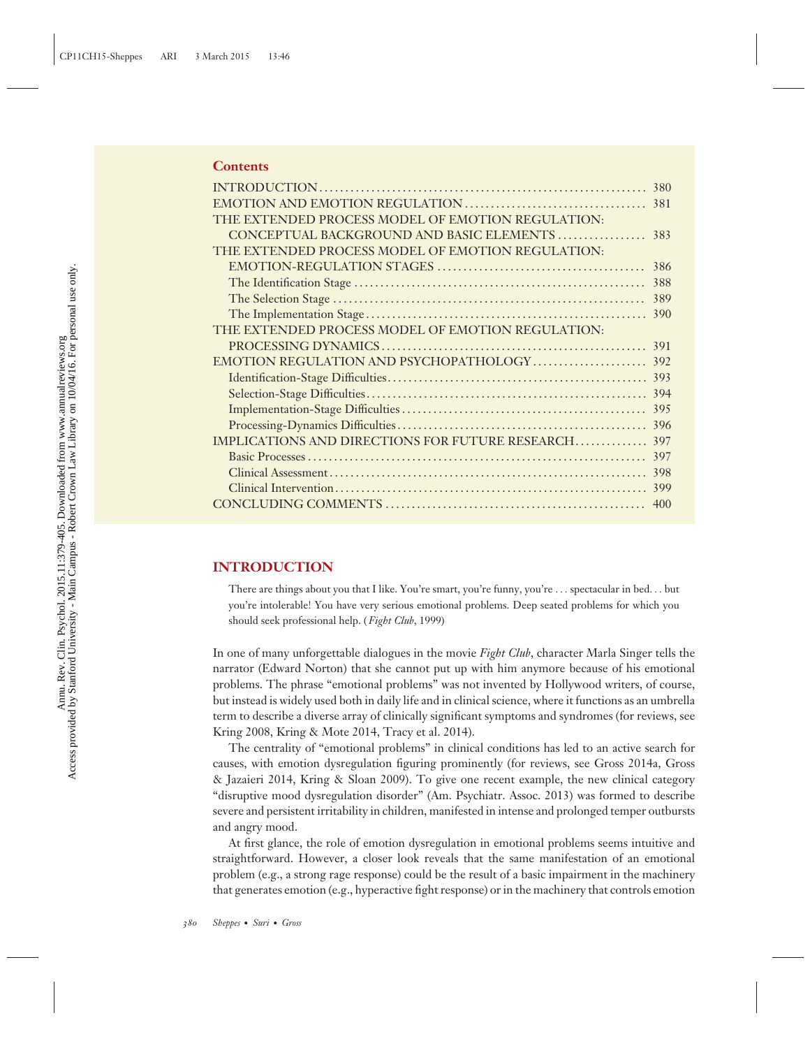## **Contents**

| 380                                                    |  |
|--------------------------------------------------------|--|
|                                                        |  |
| THE EXTENDED PROCESS MODEL OF EMOTION REGULATION:      |  |
| CONCEPTUAL BACKGROUND AND BASIC ELEMENTS<br>383        |  |
| THE EXTENDED PROCESS MODEL OF EMOTION REGULATION:      |  |
| 386                                                    |  |
| 388                                                    |  |
| 389                                                    |  |
| 390                                                    |  |
| THE EXTENDED PROCESS MODEL OF EMOTION REGULATION:      |  |
| 391                                                    |  |
|                                                        |  |
|                                                        |  |
|                                                        |  |
| 395                                                    |  |
|                                                        |  |
| IMPLICATIONS AND DIRECTIONS FOR FUTURE RESEARCH<br>397 |  |
| 397                                                    |  |
| 398                                                    |  |
| 399                                                    |  |
| 400                                                    |  |

## **INTRODUCTION**

There are things about you that I like. You're smart, you're funny, you're ... spectacular in bed... but you're intolerable! You have very serious emotional problems. Deep seated problems for which you should seek professional help. ( *Fight Club*, 1999)

In one of many unforgettable dialogues in the movie *Fight Club*, character Marla Singer tells the narrator (Edward Norton) that she cannot put up with him anymore because of his emotional problems. The phrase "emotional problems" was not invented by Hollywood writers, of course, but instead is widely used both in daily life and in clinical science, where it functions as an umbrella term to describe a diverse array of clinically significant symptoms and syndromes (for reviews, see Kring 2008, Kring & Mote 2014, Tracy et al. 2014).

The centrality of "emotional problems" in clinical conditions has led to an active search for causes, with emotion dysregulation figuring prominently (for reviews, see Gross 2014a, Gross & Jazaieri 2014, Kring & Sloan 2009). To give one recent example, the new clinical category "disruptive mood dysregulation disorder" (Am. Psychiatr. Assoc. 2013) was formed to describe severe and persistent irritability in children, manifested in intense and prolonged temper outbursts and angry mood.

At first glance, the role of emotion dysregulation in emotional problems seems intuitive and straightforward. However, a closer look reveals that the same manifestation of an emotional problem (e.g., a strong rage response) could be the result of a basic impairment in the machinery that generates emotion (e.g., hyperactive fight response) or in the machinery that controls emotion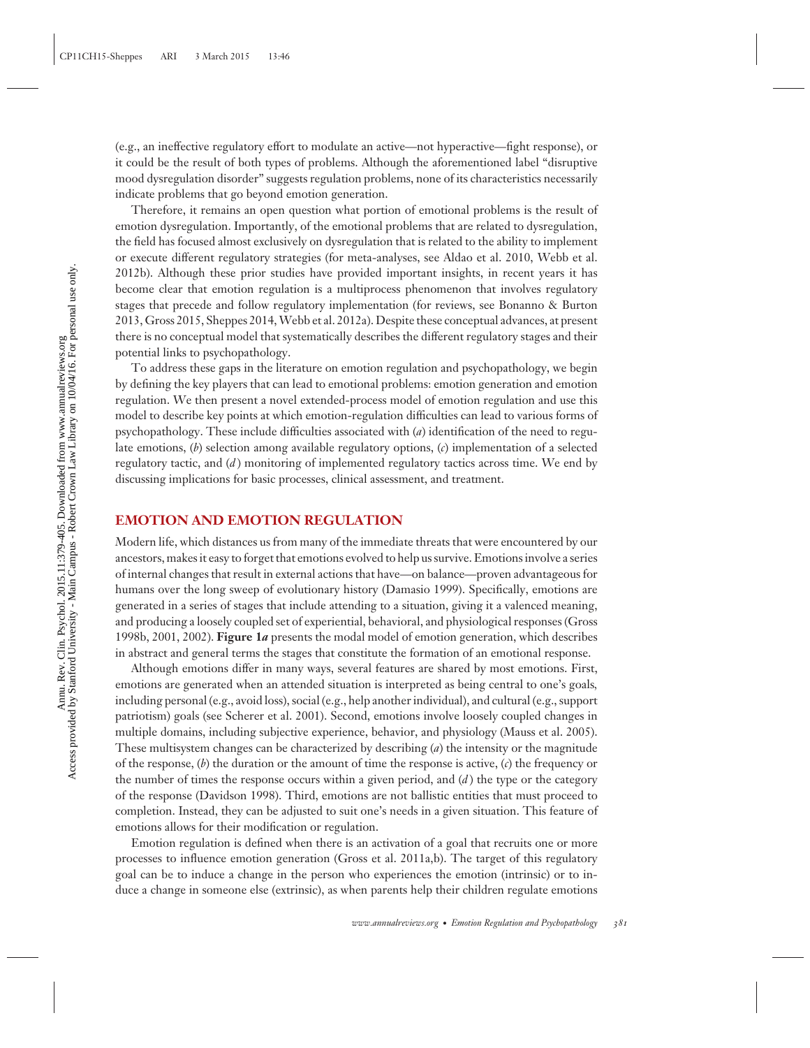(e.g., an ineffective regulatory effort to modulate an active—not hyperactive—fight response), or it could be the result of both types of problems. Although the aforementioned label "disruptive mood dysregulation disorder" suggests regulation problems, none of its characteristics necessarily indicate problems that go beyond emotion generation.

Therefore, it remains an open question what portion of emotional problems is the result of emotion dysregulation. Importantly, of the emotional problems that are related to dysregulation, the field has focused almost exclusively on dysregulation that is related to the ability to implement or execute different regulatory strategies (for meta-analyses, see Aldao et al. 2010, Webb et al. 2012b). Although these prior studies have provided important insights, in recent years it has become clear that emotion regulation is a multiprocess phenomenon that involves regulatory stages that precede and follow regulatory implementation (for reviews, see Bonanno & Burton 2013, Gross 2015, Sheppes 2014,Webb et al. 2012a). Despite these conceptual advances, at present there is no conceptual model that systematically describes the different regulatory stages and their potential links to psychopathology.

To address these gaps in the literature on emotion regulation and psychopathology, we begin by defining the key players that can lead to emotional problems: emotion generation and emotion regulation. We then present a novel extended-process model of emotion regulation and use this model to describe key points at which emotion-regulation difficulties can lead to various forms of psychopathology. These include difficulties associated with (*a*) identification of the need to regulate emotions, (*b*) selection among available regulatory options, (*c*) implementation of a selected regulatory tactic, and (*d* ) monitoring of implemented regulatory tactics across time. We end by discussing implications for basic processes, clinical assessment, and treatment.

## **EMOTION AND EMOTION REGULATION**

Modern life, which distances us from many of the immediate threats that were encountered by our ancestors, makes it easy to forget that emotions evolved to help us survive. Emotions involve a series of internal changes that result in external actions that have—on balance—proven advantageous for humans over the long sweep of evolutionary history (Damasio 1999). Specifically, emotions are generated in a series of stages that include attending to a situation, giving it a valenced meaning, and producing a loosely coupled set of experiential, behavioral, and physiological responses (Gross 1998b, 2001, 2002). **Figure 1***a* presents the modal model of emotion generation, which describes in abstract and general terms the stages that constitute the formation of an emotional response.

Although emotions differ in many ways, several features are shared by most emotions. First, emotions are generated when an attended situation is interpreted as being central to one's goals*,* including personal (e.g., avoid loss), social (e.g., help another individual), and cultural (e.g., support patriotism) goals (see Scherer et al. 2001). Second, emotions involve loosely coupled changes in multiple domains, including subjective experience, behavior, and physiology (Mauss et al. 2005). These multisystem changes can be characterized by describing (*a*) the intensity or the magnitude of the response, (*b*) the duration or the amount of time the response is active, (*c*) the frequency or the number of times the response occurs within a given period, and (*d* ) the type or the category of the response (Davidson 1998). Third, emotions are not ballistic entities that must proceed to completion. Instead, they can be adjusted to suit one's needs in a given situation. This feature of emotions allows for their modification or regulation.

Emotion regulation is defined when there is an activation of a goal that recruits one or more processes to influence emotion generation (Gross et al. 2011a,b). The target of this regulatory goal can be to induce a change in the person who experiences the emotion (intrinsic) or to induce a change in someone else (extrinsic), as when parents help their children regulate emotions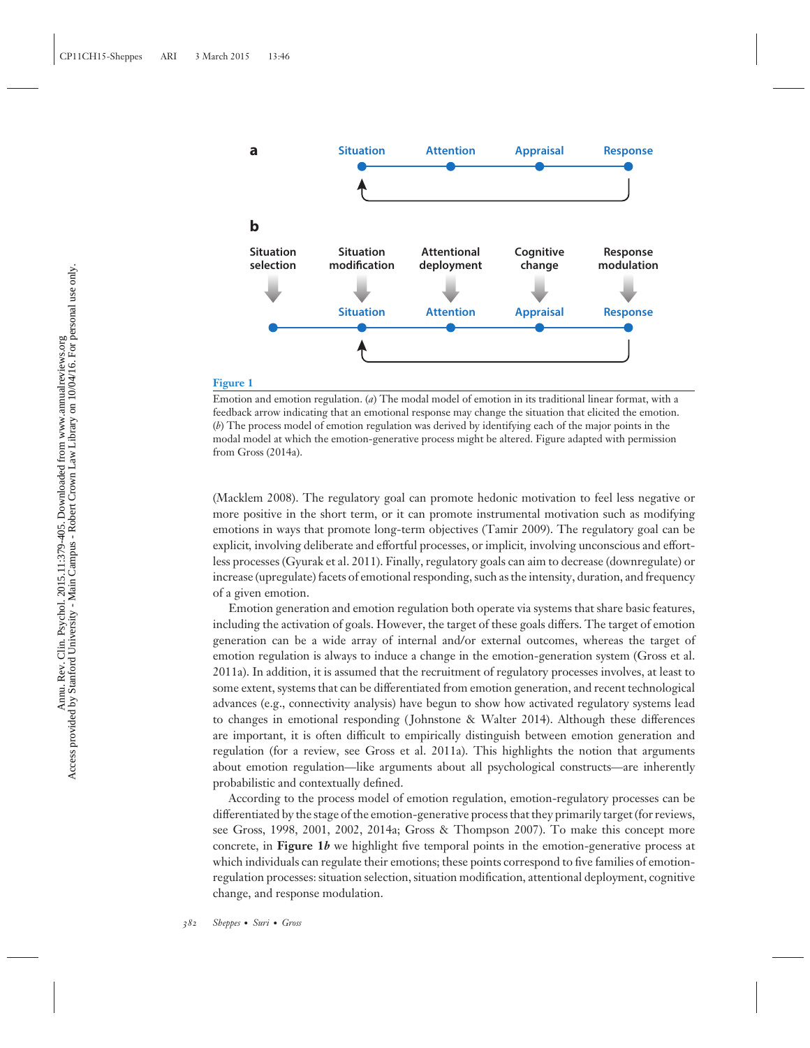

Emotion and emotion regulation. (*a*) The modal model of emotion in its traditional linear format, with a feedback arrow indicating that an emotional response may change the situation that elicited the emotion. (*b*) The process model of emotion regulation was derived by identifying each of the major points in the modal model at which the emotion-generative process might be altered. Figure adapted with permission from Gross (2014a).

(Macklem 2008). The regulatory goal can promote hedonic motivation to feel less negative or more positive in the short term, or it can promote instrumental motivation such as modifying emotions in ways that promote long-term objectives (Tamir 2009). The regulatory goal can be explicit*,* involving deliberate and effortful processes, or implicit*,* involving unconscious and effortless processes (Gyurak et al. 2011). Finally, regulatory goals can aim to decrease (downregulate) or increase (upregulate) facets of emotional responding, such as the intensity, duration, and frequency of a given emotion.

Emotion generation and emotion regulation both operate via systems that share basic features, including the activation of goals. However, the target of these goals differs. The target of emotion generation can be a wide array of internal and/or external outcomes, whereas the target of emotion regulation is always to induce a change in the emotion-generation system (Gross et al. 2011a). In addition, it is assumed that the recruitment of regulatory processes involves, at least to some extent, systems that can be differentiated from emotion generation, and recent technological advances (e.g., connectivity analysis) have begun to show how activated regulatory systems lead to changes in emotional responding ( Johnstone & Walter 2014). Although these differences are important, it is often difficult to empirically distinguish between emotion generation and regulation (for a review, see Gross et al. 2011a). This highlights the notion that arguments about emotion regulation—like arguments about all psychological constructs—are inherently probabilistic and contextually defined.

According to the process model of emotion regulation, emotion-regulatory processes can be differentiated by the stage of the emotion-generative process that they primarily target (for reviews, see Gross, 1998, 2001, 2002, 2014a; Gross & Thompson 2007). To make this concept more concrete, in **Figure 1***b* we highlight five temporal points in the emotion-generative process at which individuals can regulate their emotions; these points correspond to five families of emotionregulation processes: situation selection, situation modification, attentional deployment, cognitive change, and response modulation.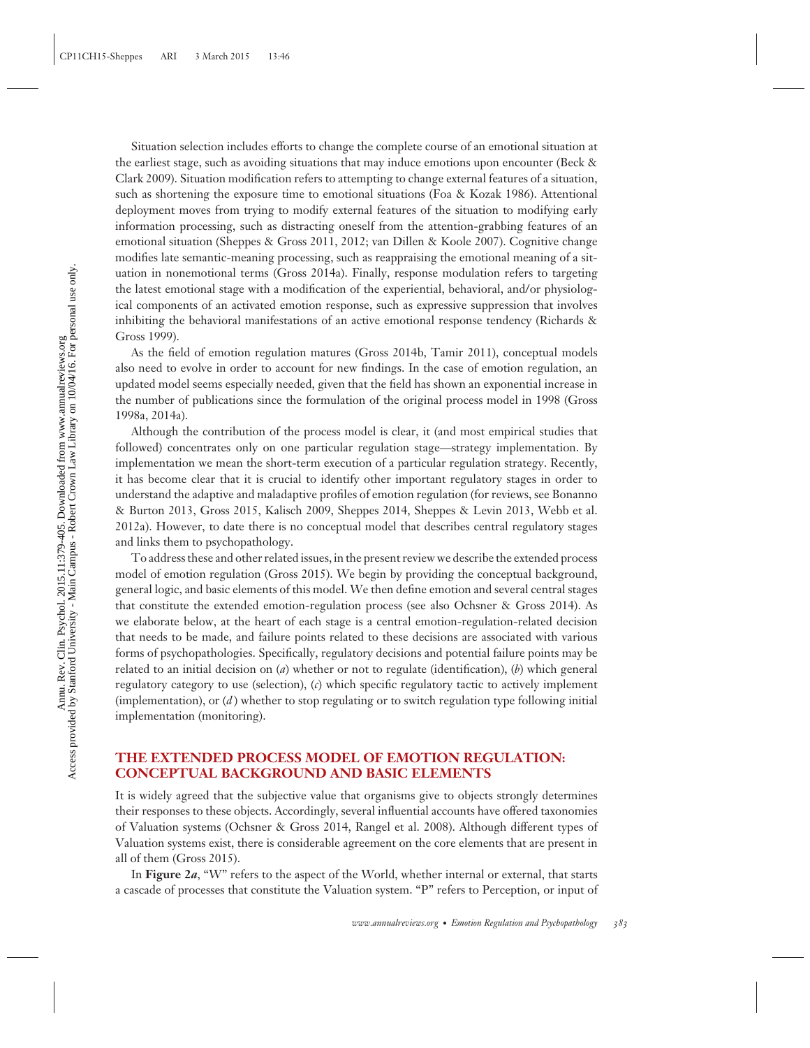Situation selection includes efforts to change the complete course of an emotional situation at the earliest stage, such as avoiding situations that may induce emotions upon encounter (Beck & Clark 2009). Situation modification refers to attempting to change external features of a situation, such as shortening the exposure time to emotional situations (Foa & Kozak 1986). Attentional deployment moves from trying to modify external features of the situation to modifying early information processing, such as distracting oneself from the attention-grabbing features of an emotional situation (Sheppes & Gross 2011, 2012; van Dillen & Koole 2007). Cognitive change modifies late semantic-meaning processing, such as reappraising the emotional meaning of a situation in nonemotional terms (Gross 2014a). Finally, response modulation refers to targeting the latest emotional stage with a modification of the experiential, behavioral, and/or physiological components of an activated emotion response, such as expressive suppression that involves inhibiting the behavioral manifestations of an active emotional response tendency (Richards & Gross 1999).

As the field of emotion regulation matures (Gross 2014b, Tamir 2011), conceptual models also need to evolve in order to account for new findings. In the case of emotion regulation, an updated model seems especially needed, given that the field has shown an exponential increase in the number of publications since the formulation of the original process model in 1998 (Gross 1998a, 2014a).

Although the contribution of the process model is clear, it (and most empirical studies that followed) concentrates only on one particular regulation stage—strategy implementation. By implementation we mean the short-term execution of a particular regulation strategy. Recently, it has become clear that it is crucial to identify other important regulatory stages in order to understand the adaptive and maladaptive profiles of emotion regulation (for reviews, see Bonanno & Burton 2013, Gross 2015, Kalisch 2009, Sheppes 2014, Sheppes & Levin 2013, Webb et al. 2012a). However, to date there is no conceptual model that describes central regulatory stages and links them to psychopathology.

To address these and other related issues, in the present review we describe the extended process model of emotion regulation (Gross 2015). We begin by providing the conceptual background, general logic, and basic elements of this model. We then define emotion and several central stages that constitute the extended emotion-regulation process (see also Ochsner & Gross 2014). As we elaborate below, at the heart of each stage is a central emotion-regulation-related decision that needs to be made, and failure points related to these decisions are associated with various forms of psychopathologies. Specifically, regulatory decisions and potential failure points may be related to an initial decision on (*a*) whether or not to regulate (identification), (*b*) which general regulatory category to use (selection), (*c*) which specific regulatory tactic to actively implement (implementation), or (*d* ) whether to stop regulating or to switch regulation type following initial implementation (monitoring).

## **THE EXTENDED PROCESS MODEL OF EMOTION REGULATION: CONCEPTUAL BACKGROUND AND BASIC ELEMENTS**

It is widely agreed that the subjective value that organisms give to objects strongly determines their responses to these objects. Accordingly, several influential accounts have offered taxonomies of Valuation systems (Ochsner & Gross 2014, Rangel et al. 2008). Although different types of Valuation systems exist, there is considerable agreement on the core elements that are present in all of them (Gross 2015).

In **Figure 2***a*, "W" refers to the aspect of the World, whether internal or external, that starts a cascade of processes that constitute the Valuation system. "P" refers to Perception, or input of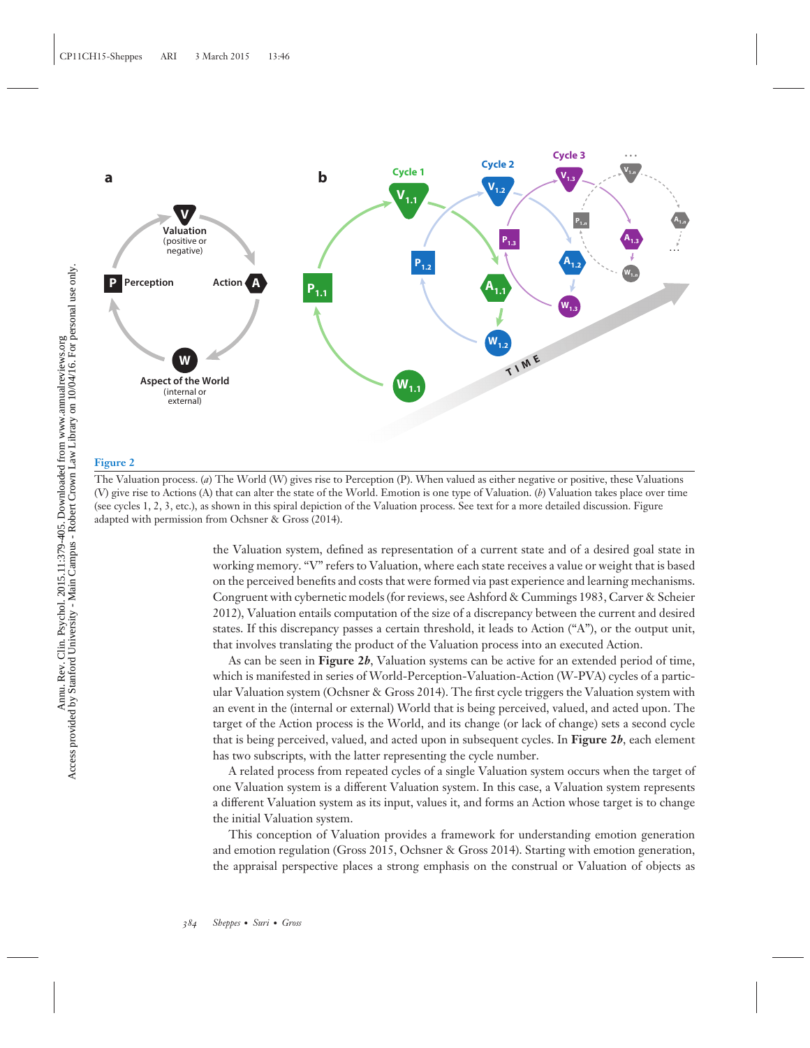

#### **Figure 2**

The Valuation process. (*a*) The World (W) gives rise to Perception (P). When valued as either negative or positive, these Valuations (V) give rise to Actions (A) that can alter the state of the World. Emotion is one type of Valuation. (*b*) Valuation takes place over time (see cycles 1, 2, 3, etc.), as shown in this spiral depiction of the Valuation process. See text for a more detailed discussion. Figure adapted with permission from Ochsner & Gross (2014).

the Valuation system, defined as representation of a current state and of a desired goal state in working memory. "V" refers to Valuation, where each state receives a value or weight that is based on the perceived benefits and costs that were formed via past experience and learning mechanisms. Congruent with cybernetic models (for reviews, see Ashford & Cummings 1983, Carver & Scheier 2012), Valuation entails computation of the size of a discrepancy between the current and desired states. If this discrepancy passes a certain threshold, it leads to Action ("A"), or the output unit, that involves translating the product of the Valuation process into an executed Action.

As can be seen in **Figure 2***b*, Valuation systems can be active for an extended period of time, which is manifested in series of World-Perception-Valuation-Action (W-PVA) cycles of a particular Valuation system (Ochsner & Gross 2014). The first cycle triggers the Valuation system with an event in the (internal or external) World that is being perceived, valued, and acted upon. The target of the Action process is the World, and its change (or lack of change) sets a second cycle that is being perceived, valued, and acted upon in subsequent cycles. In **Figure 2***b*, each element has two subscripts, with the latter representing the cycle number.

A related process from repeated cycles of a single Valuation system occurs when the target of one Valuation system is a different Valuation system. In this case, a Valuation system represents a different Valuation system as its input, values it, and forms an Action whose target is to change the initial Valuation system.

This conception of Valuation provides a framework for understanding emotion generation and emotion regulation (Gross 2015, Ochsner & Gross 2014). Starting with emotion generation, the appraisal perspective places a strong emphasis on the construal or Valuation of objects as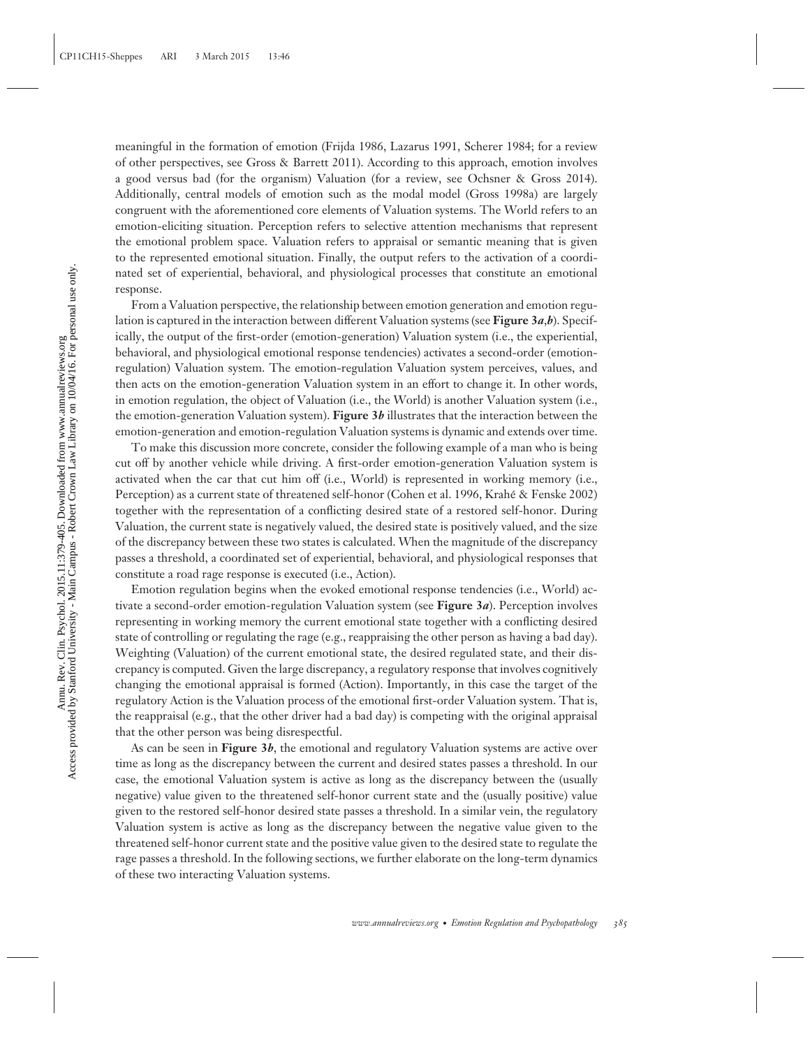meaningful in the formation of emotion (Frijda 1986, Lazarus 1991, Scherer 1984; for a review of other perspectives, see Gross & Barrett 2011). According to this approach, emotion involves a good versus bad (for the organism) Valuation (for a review, see Ochsner & Gross 2014). Additionally, central models of emotion such as the modal model (Gross 1998a) are largely congruent with the aforementioned core elements of Valuation systems. The World refers to an emotion-eliciting situation. Perception refers to selective attention mechanisms that represent the emotional problem space. Valuation refers to appraisal or semantic meaning that is given to the represented emotional situation. Finally, the output refers to the activation of a coordinated set of experiential, behavioral, and physiological processes that constitute an emotional response.

From a Valuation perspective, the relationship between emotion generation and emotion regulation is captured in the interaction between different Valuation systems (see **Figure 3***a*,*b*). Specifically, the output of the first-order (emotion-generation) Valuation system (i.e., the experiential, behavioral, and physiological emotional response tendencies) activates a second-order (emotionregulation) Valuation system. The emotion-regulation Valuation system perceives, values, and then acts on the emotion-generation Valuation system in an effort to change it. In other words, in emotion regulation, the object of Valuation (i.e., the World) is another Valuation system (i.e., the emotion-generation Valuation system). **Figure 3***b* illustrates that the interaction between the emotion-generation and emotion-regulation Valuation systems is dynamic and extends over time.

To make this discussion more concrete, consider the following example of a man who is being cut off by another vehicle while driving. A first-order emotion-generation Valuation system is activated when the car that cut him off (i.e., World) is represented in working memory (i.e., Perception) as a current state of threatened self-honor (Cohen et al. 1996, Krahé & Fenske 2002) together with the representation of a conflicting desired state of a restored self-honor. During Valuation, the current state is negatively valued, the desired state is positively valued, and the size of the discrepancy between these two states is calculated. When the magnitude of the discrepancy passes a threshold, a coordinated set of experiential, behavioral, and physiological responses that constitute a road rage response is executed (i.e., Action).

Emotion regulation begins when the evoked emotional response tendencies (i.e., World) activate a second-order emotion-regulation Valuation system (see **Figure 3***a*). Perception involves representing in working memory the current emotional state together with a conflicting desired state of controlling or regulating the rage (e.g., reappraising the other person as having a bad day). Weighting (Valuation) of the current emotional state, the desired regulated state, and their discrepancy is computed. Given the large discrepancy, a regulatory response that involves cognitively changing the emotional appraisal is formed (Action). Importantly, in this case the target of the regulatory Action is the Valuation process of the emotional first-order Valuation system. That is, the reappraisal (e.g., that the other driver had a bad day) is competing with the original appraisal that the other person was being disrespectful.

As can be seen in **Figure 3***b*, the emotional and regulatory Valuation systems are active over time as long as the discrepancy between the current and desired states passes a threshold. In our case, the emotional Valuation system is active as long as the discrepancy between the (usually negative) value given to the threatened self-honor current state and the (usually positive) value given to the restored self-honor desired state passes a threshold. In a similar vein, the regulatory Valuation system is active as long as the discrepancy between the negative value given to the threatened self-honor current state and the positive value given to the desired state to regulate the rage passes a threshold. In the following sections, we further elaborate on the long-term dynamics of these two interacting Valuation systems.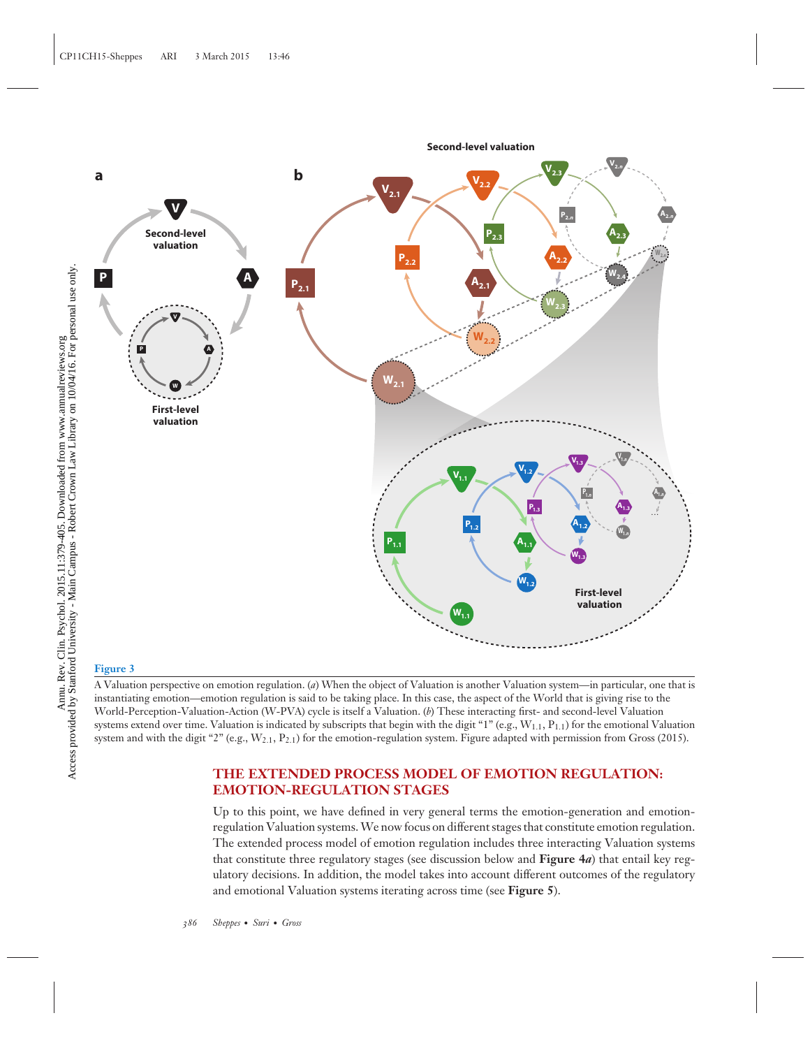**V a b First-level valuation Second-level valuation P A V W P A V2.1 P**<sub>2.1</sub> **A**<sub>2.1</sub> **V2.2 P<sub>2.2</sub> A**<sub>2.2</sub>  $V_{2.3}$ **P<sub>2.3</sub> A**<sub>2.3</sub> **V2.***<sup>n</sup>*  $P_{2.0}$ **Second-level valuation . . . First-level valuation**  $V_{1.1}$ **W<sub>1.</sub> A1.1 P1.1**  $V_{1.2}$ **W<sub>1.2</sub> P<sub>1.2</sub> A**<sub>1.2</sub>  $V_{1.3}$ **W1.3 P1.3 A1.3 V1.***<sup>n</sup>* **W1.***<sup>n</sup>* **A1.***<sup>n</sup>* **P1.***<sup>n</sup>*  $W_{2}$ **W<sub>2.2</sub>**  $W_{2.3}$ **W2.4**  $W_{2d}$ 

#### **Figure 3**

A Valuation perspective on emotion regulation. (*a*) When the object of Valuation is another Valuation system—in particular, one that is instantiating emotion—emotion regulation is said to be taking place. In this case, the aspect of the World that is giving rise to the World-Perception-Valuation-Action (W-PVA) cycle is itself a Valuation. (*b*) These interacting first- and second-level Valuation systems extend over time. Valuation is indicated by subscripts that begin with the digit "1" (e.g.,  $W_{1.1}$ ,  $P_{1.1}$ ) for the emotional Valuation system and with the digit "2" (e.g., W2.1, P2.1) for the emotion-regulation system. Figure adapted with permission from Gross (2015).

## **THE EXTENDED PROCESS MODEL OF EMOTION REGULATION: EMOTION-REGULATION STAGES**

Up to this point, we have defined in very general terms the emotion-generation and emotionregulation Valuation systems.We now focus on different stages that constitute emotion regulation. The extended process model of emotion regulation includes three interacting Valuation systems that constitute three regulatory stages (see discussion below and **Figure 4***a*) that entail key regulatory decisions. In addition, the model takes into account different outcomes of the regulatory and emotional Valuation systems iterating across time (see **Figure 5**).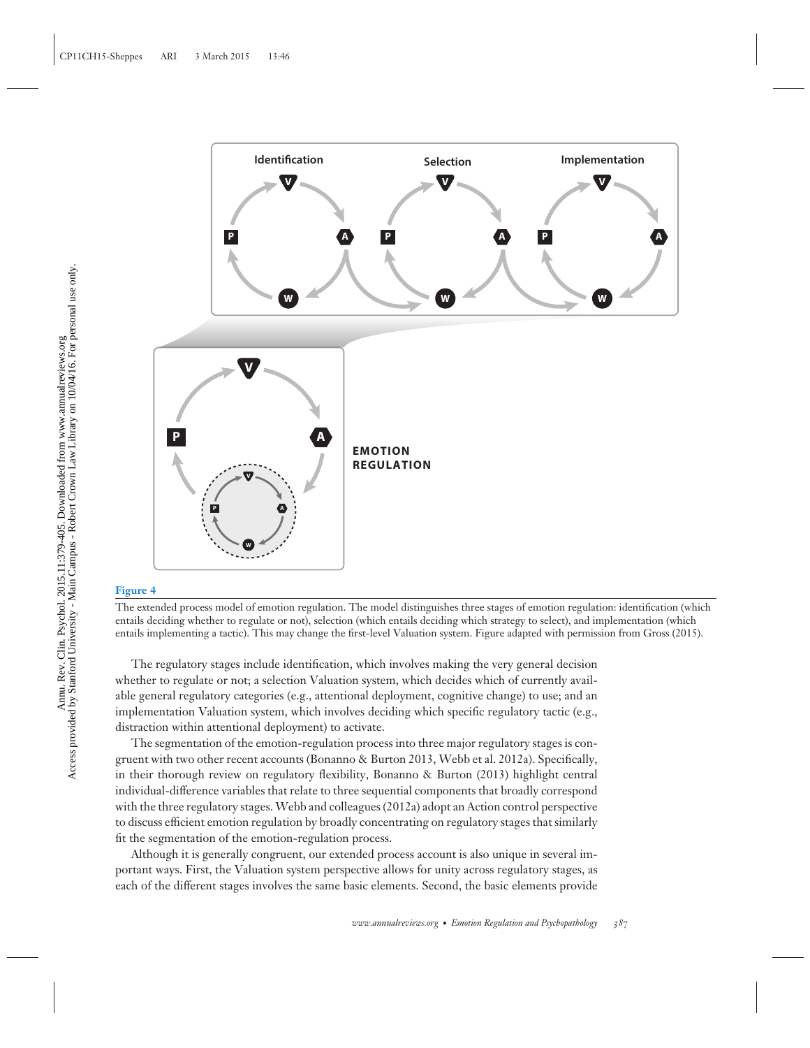

## **Figure 4**

The extended process model of emotion regulation. The model distinguishes three stages of emotion regulation: identification (which entails deciding whether to regulate or not), selection (which entails deciding which strategy to select), and implementation (which entails implementing a tactic). This may change the first-level Valuation system. Figure adapted with permission from Gross (2015).

The regulatory stages include identification, which involves making the very general decision whether to regulate or not; a selection Valuation system, which decides which of currently available general regulatory categories (e.g., attentional deployment, cognitive change) to use; and an implementation Valuation system, which involves deciding which specific regulatory tactic (e.g., distraction within attentional deployment) to activate.

The segmentation of the emotion-regulation process into three major regulatory stages is congruent with two other recent accounts (Bonanno & Burton 2013, Webb et al. 2012a). Specifically, in their thorough review on regulatory flexibility, Bonanno & Burton (2013) highlight central individual-difference variables that relate to three sequential components that broadly correspond with the three regulatory stages. Webb and colleagues (2012a) adopt an Action control perspective to discuss efficient emotion regulation by broadly concentrating on regulatory stages that similarly fit the segmentation of the emotion-regulation process.

Although it is generally congruent, our extended process account is also unique in several important ways. First, the Valuation system perspective allows for unity across regulatory stages, as each of the different stages involves the same basic elements. Second, the basic elements provide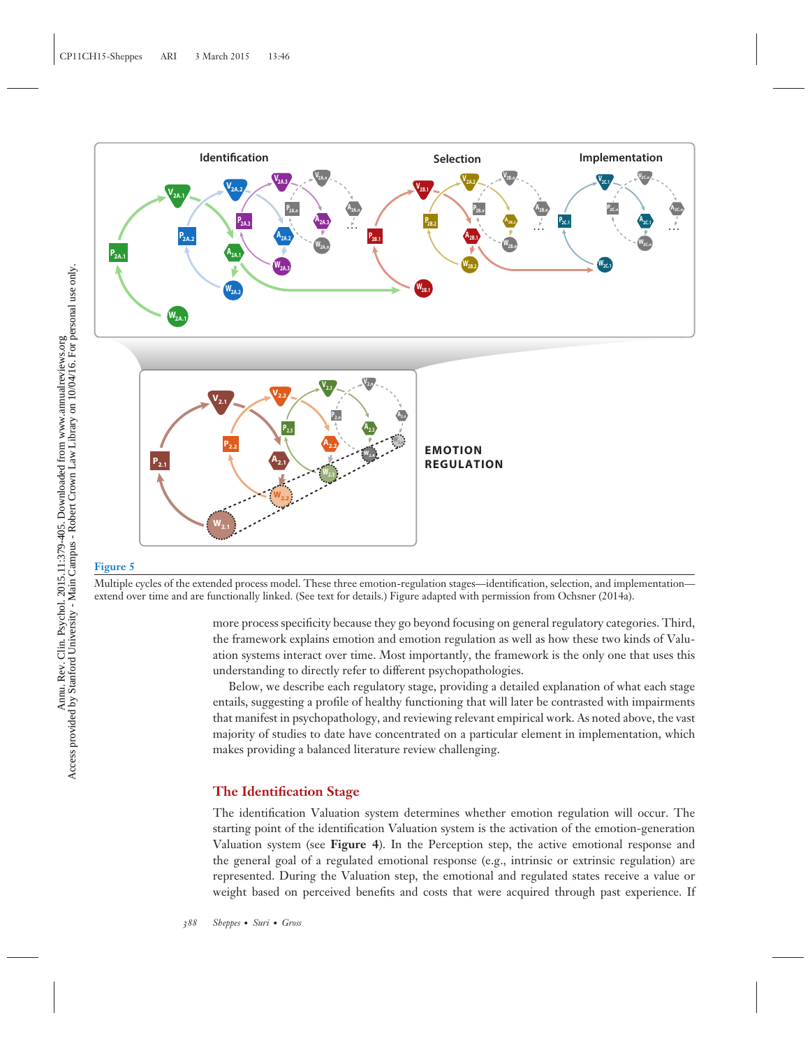

## **The Identification Stage**

makes providing a balanced literature review challenging.

The identification Valuation system determines whether emotion regulation will occur. The starting point of the identification Valuation system is the activation of the emotion-generation Valuation system (see **Figure 4**). In the Perception step, the active emotional response and the general goal of a regulated emotional response (e.g., intrinsic or extrinsic regulation) are represented. During the Valuation step, the emotional and regulated states receive a value or weight based on perceived benefits and costs that were acquired through past experience. If

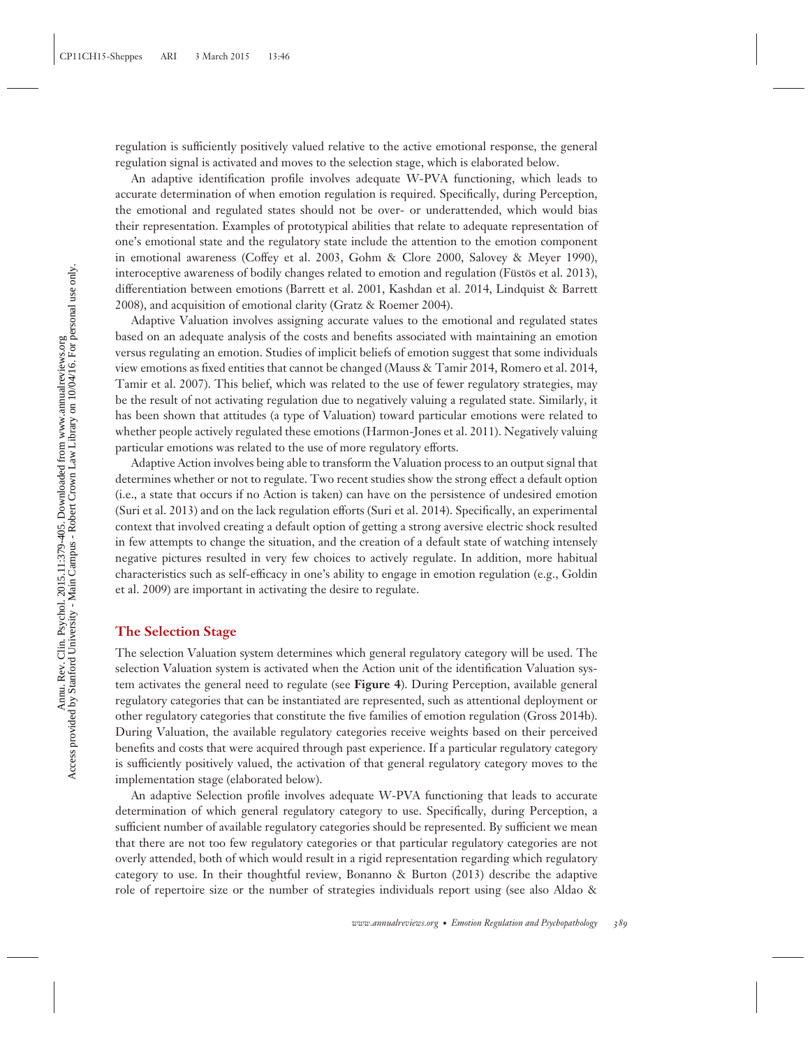regulation is sufficiently positively valued relative to the active emotional response, the general regulation signal is activated and moves to the selection stage, which is elaborated below.

An adaptive identification profile involves adequate W-PVA functioning, which leads to accurate determination of when emotion regulation is required. Specifically, during Perception, the emotional and regulated states should not be over- or underattended, which would bias their representation. Examples of prototypical abilities that relate to adequate representation of one's emotional state and the regulatory state include the attention to the emotion component in emotional awareness (Coffey et al. 2003, Gohm & Clore 2000, Salovey & Meyer 1990), interoceptive awareness of bodily changes related to emotion and regulation (Füstös et al. 2013), differentiation between emotions (Barrett et al. 2001, Kashdan et al. 2014, Lindquist & Barrett 2008), and acquisition of emotional clarity (Gratz & Roemer 2004).

Adaptive Valuation involves assigning accurate values to the emotional and regulated states based on an adequate analysis of the costs and benefits associated with maintaining an emotion versus regulating an emotion. Studies of implicit beliefs of emotion suggest that some individuals view emotions as fixed entities that cannot be changed (Mauss & Tamir 2014, Romero et al. 2014, Tamir et al. 2007). This belief, which was related to the use of fewer regulatory strategies, may be the result of not activating regulation due to negatively valuing a regulated state. Similarly, it has been shown that attitudes (a type of Valuation) toward particular emotions were related to whether people actively regulated these emotions (Harmon-Jones et al. 2011). Negatively valuing particular emotions was related to the use of more regulatory efforts.

Adaptive Action involves being able to transform the Valuation process to an output signal that determines whether or not to regulate. Two recent studies show the strong effect a default option (i.e., a state that occurs if no Action is taken) can have on the persistence of undesired emotion (Suri et al. 2013) and on the lack regulation efforts (Suri et al. 2014). Specifically, an experimental context that involved creating a default option of getting a strong aversive electric shock resulted in few attempts to change the situation, and the creation of a default state of watching intensely negative pictures resulted in very few choices to actively regulate. In addition, more habitual characteristics such as self-efficacy in one's ability to engage in emotion regulation (e.g., Goldin et al. 2009) are important in activating the desire to regulate.

### **The Selection Stage**

The selection Valuation system determines which general regulatory category will be used. The selection Valuation system is activated when the Action unit of the identification Valuation system activates the general need to regulate (see **Figure 4**). During Perception, available general regulatory categories that can be instantiated are represented, such as attentional deployment or other regulatory categories that constitute the five families of emotion regulation (Gross 2014b). During Valuation, the available regulatory categories receive weights based on their perceived benefits and costs that were acquired through past experience. If a particular regulatory category is sufficiently positively valued, the activation of that general regulatory category moves to the implementation stage (elaborated below).

An adaptive Selection profile involves adequate W-PVA functioning that leads to accurate determination of which general regulatory category to use. Specifically, during Perception, a sufficient number of available regulatory categories should be represented. By sufficient we mean that there are not too few regulatory categories or that particular regulatory categories are not overly attended, both of which would result in a rigid representation regarding which regulatory category to use. In their thoughtful review, Bonanno & Burton (2013) describe the adaptive role of repertoire size or the number of strategies individuals report using (see also Aldao &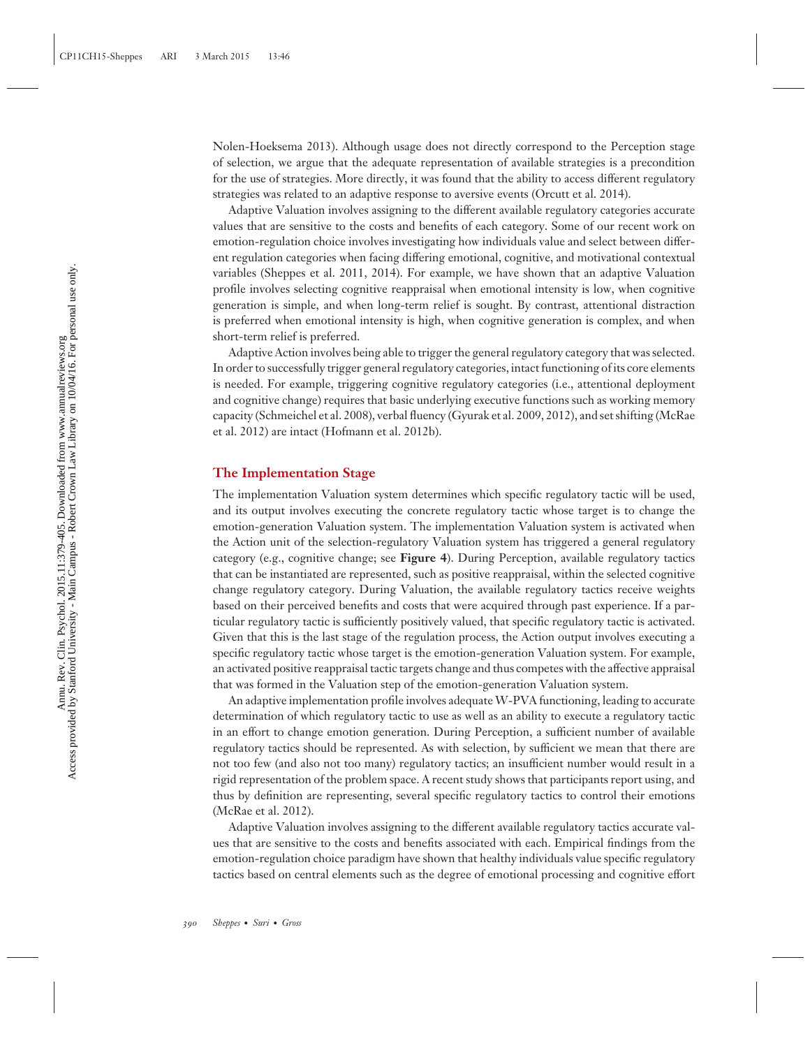Nolen-Hoeksema 2013). Although usage does not directly correspond to the Perception stage of selection, we argue that the adequate representation of available strategies is a precondition for the use of strategies. More directly, it was found that the ability to access different regulatory strategies was related to an adaptive response to aversive events (Orcutt et al. 2014).

Adaptive Valuation involves assigning to the different available regulatory categories accurate values that are sensitive to the costs and benefits of each category. Some of our recent work on emotion-regulation choice involves investigating how individuals value and select between different regulation categories when facing differing emotional, cognitive, and motivational contextual variables (Sheppes et al. 2011, 2014). For example, we have shown that an adaptive Valuation profile involves selecting cognitive reappraisal when emotional intensity is low, when cognitive generation is simple, and when long-term relief is sought. By contrast, attentional distraction is preferred when emotional intensity is high, when cognitive generation is complex, and when short-term relief is preferred.

Adaptive Action involves being able to trigger the general regulatory category that was selected. In order to successfully trigger general regulatory categories, intact functioning of its core elements is needed. For example, triggering cognitive regulatory categories (i.e., attentional deployment and cognitive change) requires that basic underlying executive functions such as working memory capacity (Schmeichel et al. 2008), verbal fluency (Gyurak et al. 2009, 2012), and set shifting (McRae et al. 2012) are intact (Hofmann et al. 2012b).

#### **The Implementation Stage**

The implementation Valuation system determines which specific regulatory tactic will be used, and its output involves executing the concrete regulatory tactic whose target is to change the emotion-generation Valuation system. The implementation Valuation system is activated when the Action unit of the selection-regulatory Valuation system has triggered a general regulatory category (e.g., cognitive change; see **Figure 4**). During Perception, available regulatory tactics that can be instantiated are represented, such as positive reappraisal, within the selected cognitive change regulatory category. During Valuation, the available regulatory tactics receive weights based on their perceived benefits and costs that were acquired through past experience. If a particular regulatory tactic is sufficiently positively valued, that specific regulatory tactic is activated. Given that this is the last stage of the regulation process, the Action output involves executing a specific regulatory tactic whose target is the emotion-generation Valuation system. For example, an activated positive reappraisal tactic targets change and thus competes with the affective appraisal that was formed in the Valuation step of the emotion-generation Valuation system.

An adaptive implementation profile involves adequateW-PVA functioning, leading to accurate determination of which regulatory tactic to use as well as an ability to execute a regulatory tactic in an effort to change emotion generation. During Perception, a sufficient number of available regulatory tactics should be represented. As with selection, by sufficient we mean that there are not too few (and also not too many) regulatory tactics; an insufficient number would result in a rigid representation of the problem space. A recent study shows that participants report using, and thus by definition are representing, several specific regulatory tactics to control their emotions (McRae et al. 2012).

Adaptive Valuation involves assigning to the different available regulatory tactics accurate values that are sensitive to the costs and benefits associated with each. Empirical findings from the emotion-regulation choice paradigm have shown that healthy individuals value specific regulatory tactics based on central elements such as the degree of emotional processing and cognitive effort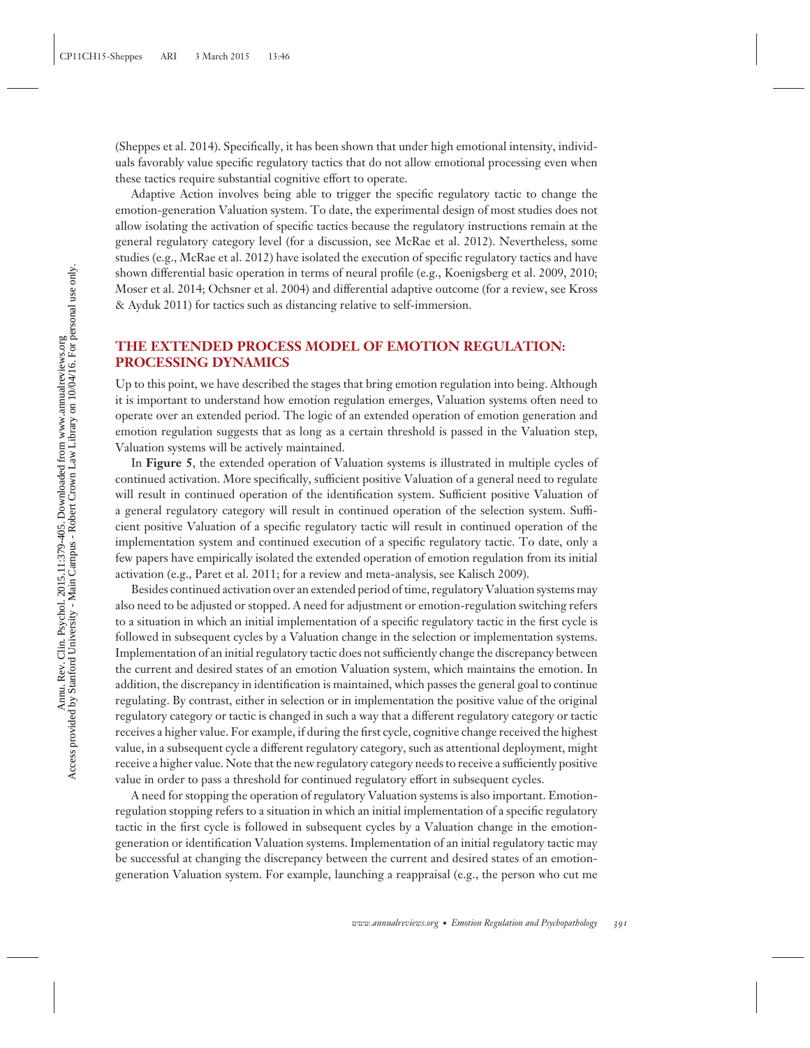(Sheppes et al. 2014). Specifically, it has been shown that under high emotional intensity, individuals favorably value specific regulatory tactics that do not allow emotional processing even when these tactics require substantial cognitive effort to operate.

Adaptive Action involves being able to trigger the specific regulatory tactic to change the emotion-generation Valuation system. To date, the experimental design of most studies does not allow isolating the activation of specific tactics because the regulatory instructions remain at the general regulatory category level (for a discussion, see McRae et al. 2012). Nevertheless, some studies (e.g., McRae et al. 2012) have isolated the execution of specific regulatory tactics and have shown differential basic operation in terms of neural profile (e.g., Koenigsberg et al. 2009, 2010; Moser et al. 2014; Ochsner et al. 2004) and differential adaptive outcome (for a review, see Kross & Ayduk 2011) for tactics such as distancing relative to self-immersion.

## **THE EXTENDED PROCESS MODEL OF EMOTION REGULATION: PROCESSING DYNAMICS**

Up to this point, we have described the stages that bring emotion regulation into being. Although it is important to understand how emotion regulation emerges, Valuation systems often need to operate over an extended period. The logic of an extended operation of emotion generation and emotion regulation suggests that as long as a certain threshold is passed in the Valuation step, Valuation systems will be actively maintained.

In **Figure 5**, the extended operation of Valuation systems is illustrated in multiple cycles of continued activation. More specifically, sufficient positive Valuation of a general need to regulate will result in continued operation of the identification system. Sufficient positive Valuation of a general regulatory category will result in continued operation of the selection system. Sufficient positive Valuation of a specific regulatory tactic will result in continued operation of the implementation system and continued execution of a specific regulatory tactic. To date, only a few papers have empirically isolated the extended operation of emotion regulation from its initial activation (e.g., Paret et al. 2011; for a review and meta-analysis, see Kalisch 2009).

Besides continued activation over an extended period of time, regulatory Valuation systems may also need to be adjusted or stopped. A need for adjustment or emotion-regulation switching refers to a situation in which an initial implementation of a specific regulatory tactic in the first cycle is followed in subsequent cycles by a Valuation change in the selection or implementation systems. Implementation of an initial regulatory tactic does not sufficiently change the discrepancy between the current and desired states of an emotion Valuation system, which maintains the emotion. In addition, the discrepancy in identification is maintained, which passes the general goal to continue regulating. By contrast, either in selection or in implementation the positive value of the original regulatory category or tactic is changed in such a way that a different regulatory category or tactic receives a higher value. For example, if during the first cycle, cognitive change received the highest value, in a subsequent cycle a different regulatory category, such as attentional deployment, might receive a higher value. Note that the new regulatory category needs to receive a sufficiently positive value in order to pass a threshold for continued regulatory effort in subsequent cycles.

A need for stopping the operation of regulatory Valuation systems is also important. Emotionregulation stopping refers to a situation in which an initial implementation of a specific regulatory tactic in the first cycle is followed in subsequent cycles by a Valuation change in the emotiongeneration or identification Valuation systems. Implementation of an initial regulatory tactic may be successful at changing the discrepancy between the current and desired states of an emotiongeneration Valuation system. For example, launching a reappraisal (e.g., the person who cut me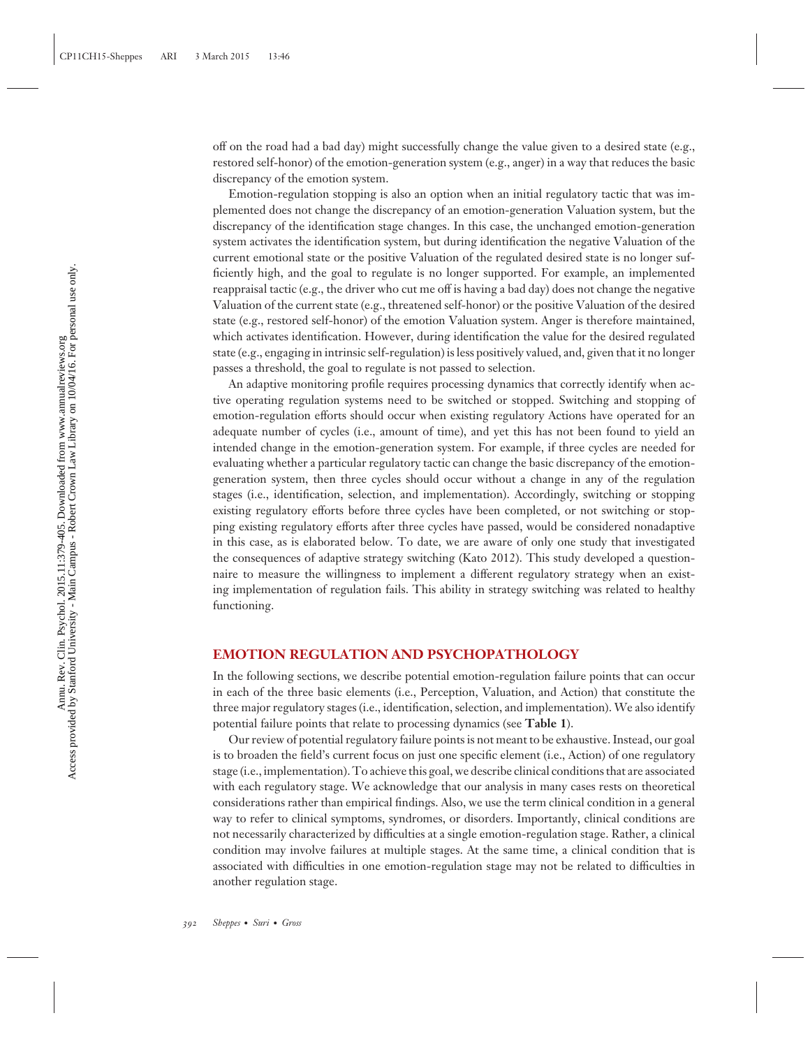off on the road had a bad day) might successfully change the value given to a desired state (e.g., restored self-honor) of the emotion-generation system (e.g., anger) in a way that reduces the basic discrepancy of the emotion system.

Emotion-regulation stopping is also an option when an initial regulatory tactic that was implemented does not change the discrepancy of an emotion-generation Valuation system, but the discrepancy of the identification stage changes. In this case, the unchanged emotion-generation system activates the identification system, but during identification the negative Valuation of the current emotional state or the positive Valuation of the regulated desired state is no longer sufficiently high, and the goal to regulate is no longer supported. For example, an implemented reappraisal tactic (e.g., the driver who cut me off is having a bad day) does not change the negative Valuation of the current state (e.g., threatened self-honor) or the positive Valuation of the desired state (e.g., restored self-honor) of the emotion Valuation system. Anger is therefore maintained, which activates identification. However, during identification the value for the desired regulated state (e.g., engaging in intrinsic self-regulation) is less positively valued, and, given that it no longer passes a threshold, the goal to regulate is not passed to selection.

An adaptive monitoring profile requires processing dynamics that correctly identify when active operating regulation systems need to be switched or stopped. Switching and stopping of emotion-regulation efforts should occur when existing regulatory Actions have operated for an adequate number of cycles (i.e., amount of time), and yet this has not been found to yield an intended change in the emotion-generation system. For example, if three cycles are needed for evaluating whether a particular regulatory tactic can change the basic discrepancy of the emotiongeneration system, then three cycles should occur without a change in any of the regulation stages (i.e., identification, selection, and implementation). Accordingly, switching or stopping existing regulatory efforts before three cycles have been completed, or not switching or stopping existing regulatory efforts after three cycles have passed, would be considered nonadaptive in this case, as is elaborated below. To date, we are aware of only one study that investigated the consequences of adaptive strategy switching (Kato 2012). This study developed a questionnaire to measure the willingness to implement a different regulatory strategy when an existing implementation of regulation fails. This ability in strategy switching was related to healthy functioning.

## **EMOTION REGULATION AND PSYCHOPATHOLOGY**

In the following sections, we describe potential emotion-regulation failure points that can occur in each of the three basic elements (i.e., Perception, Valuation, and Action) that constitute the three major regulatory stages (i.e., identification, selection, and implementation). We also identify potential failure points that relate to processing dynamics (see **Table 1**).

Our review of potential regulatory failure points is not meant to be exhaustive. Instead, our goal is to broaden the field's current focus on just one specific element (i.e., Action) of one regulatory stage (i.e., implementation). To achieve this goal, we describe clinical conditions that are associated with each regulatory stage. We acknowledge that our analysis in many cases rests on theoretical considerations rather than empirical findings. Also, we use the term clinical condition in a general way to refer to clinical symptoms, syndromes, or disorders. Importantly, clinical conditions are not necessarily characterized by difficulties at a single emotion-regulation stage. Rather, a clinical condition may involve failures at multiple stages. At the same time, a clinical condition that is associated with difficulties in one emotion-regulation stage may not be related to difficulties in another regulation stage.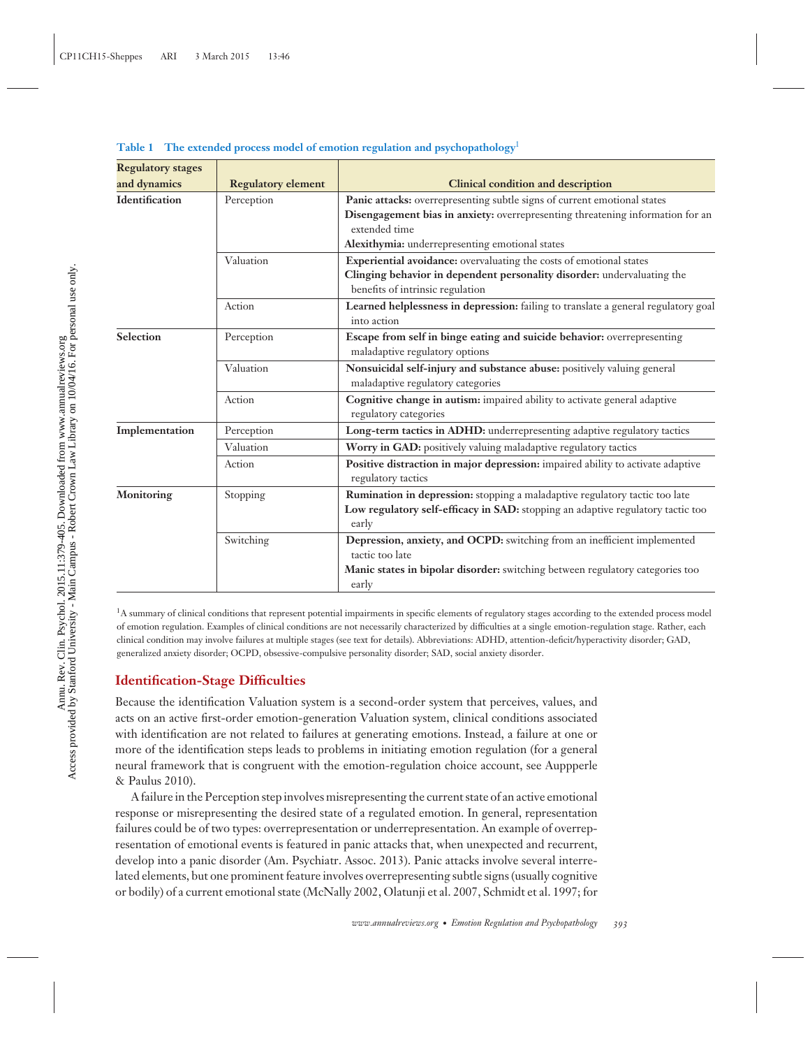| <b>Regulatory stages</b><br>and dynamics | <b>Regulatory element</b> | <b>Clinical condition and description</b>                                                                                                                                                                                      |  |  |
|------------------------------------------|---------------------------|--------------------------------------------------------------------------------------------------------------------------------------------------------------------------------------------------------------------------------|--|--|
| Identification                           | Perception                | Panic attacks: overrepresenting subtle signs of current emotional states<br>Disengagement bias in anxiety: overrepresenting threatening information for an<br>extended time<br>Alexithymia: underrepresenting emotional states |  |  |
|                                          | Valuation                 | Experiential avoidance: overvaluating the costs of emotional states<br>Clinging behavior in dependent personality disorder: undervaluating the<br>benefits of intrinsic regulation                                             |  |  |
|                                          | Action                    | Learned helplessness in depression: failing to translate a general regulatory goal<br>into action                                                                                                                              |  |  |
| <b>Selection</b>                         | Perception                | Escape from self in binge eating and suicide behavior: overrepresenting<br>maladaptive regulatory options                                                                                                                      |  |  |
|                                          | Valuation                 | Nonsuicidal self-injury and substance abuse: positively valuing general<br>maladaptive regulatory categories                                                                                                                   |  |  |
|                                          | Action                    | Cognitive change in autism: impaired ability to activate general adaptive<br>regulatory categories                                                                                                                             |  |  |
| Implementation                           | Perception                | Long-term tactics in ADHD: underrepresenting adaptive regulatory tactics                                                                                                                                                       |  |  |
|                                          | Valuation                 | Worry in GAD: positively valuing maladaptive regulatory tactics                                                                                                                                                                |  |  |
|                                          | Action                    | Positive distraction in major depression: impaired ability to activate adaptive<br>regulatory tactics                                                                                                                          |  |  |
| Monitoring                               | Stopping                  | Rumination in depression: stopping a maladaptive regulatory tactic too late<br>Low regulatory self-efficacy in SAD: stopping an adaptive regulatory tactic too<br>early                                                        |  |  |
|                                          | Switching                 | Depression, anxiety, and OCPD: switching from an inefficient implemented<br>tactic too late<br>Manic states in bipolar disorder: switching between regulatory categories too<br>early                                          |  |  |

|  |  |  |  | Table 1 – The extended process model of emotion regulation and psychopathology <sup>1</sup> |
|--|--|--|--|---------------------------------------------------------------------------------------------|
|--|--|--|--|---------------------------------------------------------------------------------------------|

<sup>1</sup>A summary of clinical conditions that represent potential impairments in specific elements of regulatory stages according to the extended process model of emotion regulation. Examples of clinical conditions are not necessarily characterized by difficulties at a single emotion-regulation stage. Rather, each clinical condition may involve failures at multiple stages (see text for details). Abbreviations: ADHD, attention-deficit/hyperactivity disorder; GAD, generalized anxiety disorder; OCPD, obsessive-compulsive personality disorder; SAD, social anxiety disorder.

## **Identification-Stage Difficulties**

Because the identification Valuation system is a second-order system that perceives, values, and acts on an active first-order emotion-generation Valuation system, clinical conditions associated with identification are not related to failures at generating emotions. Instead, a failure at one or more of the identification steps leads to problems in initiating emotion regulation (for a general neural framework that is congruent with the emotion-regulation choice account, see Auppperle & Paulus 2010).

A failure in the Perception step involves misrepresenting the current state of an active emotional response or misrepresenting the desired state of a regulated emotion. In general, representation failures could be of two types: overrepresentation or underrepresentation. An example of overrepresentation of emotional events is featured in panic attacks that, when unexpected and recurrent, develop into a panic disorder (Am. Psychiatr. Assoc. 2013). Panic attacks involve several interrelated elements, but one prominent feature involves overrepresenting subtle signs (usually cognitive or bodily) of a current emotional state (McNally 2002, Olatunji et al. 2007, Schmidt et al. 1997; for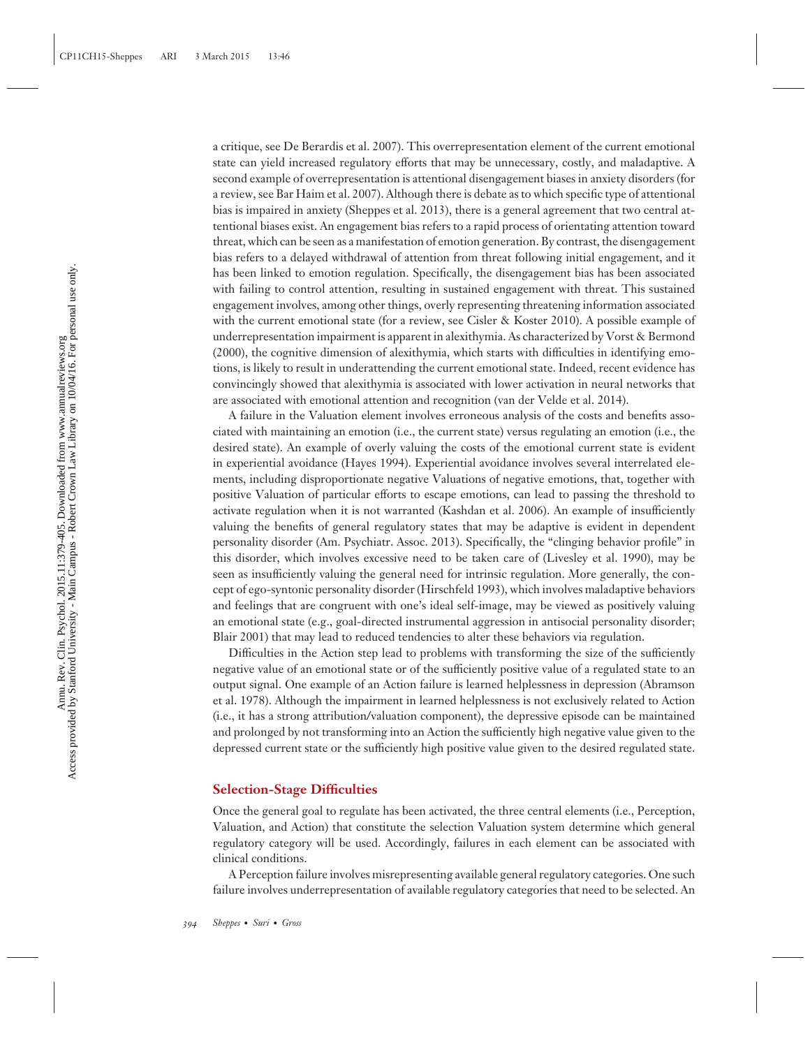a critique, see De Berardis et al. 2007). This overrepresentation element of the current emotional state can yield increased regulatory efforts that may be unnecessary, costly, and maladaptive. A second example of overrepresentation is attentional disengagement biases in anxiety disorders (for a review, see Bar Haim et al. 2007). Although there is debate as to which specific type of attentional bias is impaired in anxiety (Sheppes et al. 2013), there is a general agreement that two central attentional biases exist. An engagement bias refers to a rapid process of orientating attention toward threat, which can be seen as a manifestation of emotion generation. By contrast, the disengagement bias refers to a delayed withdrawal of attention from threat following initial engagement, and it has been linked to emotion regulation. Specifically, the disengagement bias has been associated with failing to control attention, resulting in sustained engagement with threat. This sustained engagement involves, among other things, overly representing threatening information associated with the current emotional state (for a review, see Cisler & Koster 2010). A possible example of underrepresentation impairment is apparent in alexithymia. As characterized by Vorst & Bermond (2000), the cognitive dimension of alexithymia, which starts with difficulties in identifying emotions, is likely to result in underattending the current emotional state. Indeed, recent evidence has convincingly showed that alexithymia is associated with lower activation in neural networks that are associated with emotional attention and recognition (van der Velde et al. 2014).

A failure in the Valuation element involves erroneous analysis of the costs and benefits associated with maintaining an emotion (i.e., the current state) versus regulating an emotion (i.e., the desired state). An example of overly valuing the costs of the emotional current state is evident in experiential avoidance (Hayes 1994). Experiential avoidance involves several interrelated elements, including disproportionate negative Valuations of negative emotions, that, together with positive Valuation of particular efforts to escape emotions, can lead to passing the threshold to activate regulation when it is not warranted (Kashdan et al. 2006). An example of insufficiently valuing the benefits of general regulatory states that may be adaptive is evident in dependent personality disorder (Am. Psychiatr. Assoc. 2013). Specifically, the "clinging behavior profile" in this disorder, which involves excessive need to be taken care of (Livesley et al. 1990), may be seen as insufficiently valuing the general need for intrinsic regulation. More generally, the concept of ego-syntonic personality disorder (Hirschfeld 1993), which involves maladaptive behaviors and feelings that are congruent with one's ideal self-image, may be viewed as positively valuing an emotional state (e.g., goal-directed instrumental aggression in antisocial personality disorder; Blair 2001) that may lead to reduced tendencies to alter these behaviors via regulation.

Difficulties in the Action step lead to problems with transforming the size of the sufficiently negative value of an emotional state or of the sufficiently positive value of a regulated state to an output signal. One example of an Action failure is learned helplessness in depression (Abramson et al. 1978). Although the impairment in learned helplessness is not exclusively related to Action (i.e., it has a strong attribution/valuation component), the depressive episode can be maintained and prolonged by not transforming into an Action the sufficiently high negative value given to the depressed current state or the sufficiently high positive value given to the desired regulated state.

#### **Selection-Stage Difficulties**

Once the general goal to regulate has been activated, the three central elements (i.e., Perception, Valuation, and Action) that constitute the selection Valuation system determine which general regulatory category will be used. Accordingly, failures in each element can be associated with clinical conditions.

A Perception failure involves misrepresenting available general regulatory categories. One such failure involves underrepresentation of available regulatory categories that need to be selected. An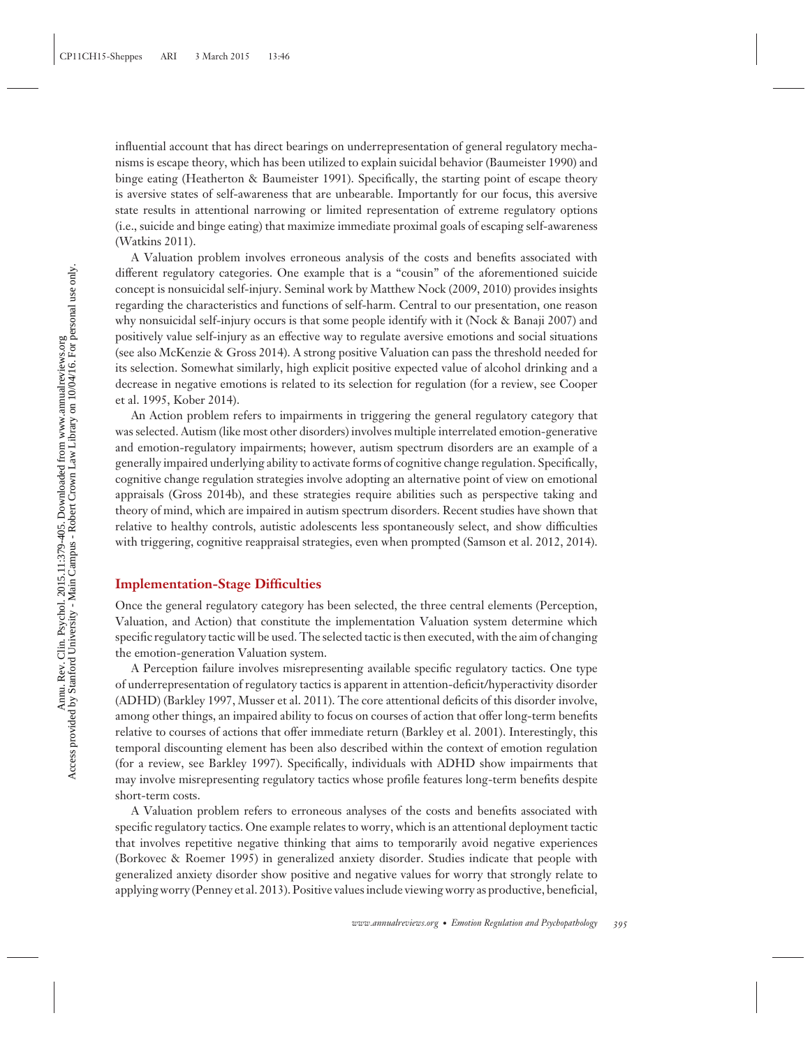influential account that has direct bearings on underrepresentation of general regulatory mechanisms is escape theory, which has been utilized to explain suicidal behavior (Baumeister 1990) and binge eating (Heatherton & Baumeister 1991). Specifically, the starting point of escape theory is aversive states of self-awareness that are unbearable. Importantly for our focus, this aversive state results in attentional narrowing or limited representation of extreme regulatory options (i.e., suicide and binge eating) that maximize immediate proximal goals of escaping self-awareness (Watkins 2011).

A Valuation problem involves erroneous analysis of the costs and benefits associated with different regulatory categories. One example that is a "cousin" of the aforementioned suicide concept is nonsuicidal self-injury. Seminal work by Matthew Nock (2009, 2010) provides insights regarding the characteristics and functions of self-harm. Central to our presentation, one reason why nonsuicidal self-injury occurs is that some people identify with it (Nock & Banaji 2007) and positively value self-injury as an effective way to regulate aversive emotions and social situations (see also McKenzie & Gross 2014). A strong positive Valuation can pass the threshold needed for its selection. Somewhat similarly, high explicit positive expected value of alcohol drinking and a decrease in negative emotions is related to its selection for regulation (for a review, see Cooper et al. 1995, Kober 2014).

An Action problem refers to impairments in triggering the general regulatory category that was selected. Autism (like most other disorders) involves multiple interrelated emotion-generative and emotion-regulatory impairments; however, autism spectrum disorders are an example of a generally impaired underlying ability to activate forms of cognitive change regulation. Specifically, cognitive change regulation strategies involve adopting an alternative point of view on emotional appraisals (Gross 2014b), and these strategies require abilities such as perspective taking and theory of mind, which are impaired in autism spectrum disorders. Recent studies have shown that relative to healthy controls, autistic adolescents less spontaneously select, and show difficulties with triggering, cognitive reappraisal strategies, even when prompted (Samson et al. 2012, 2014).

## **Implementation-Stage Difficulties**

Once the general regulatory category has been selected, the three central elements (Perception, Valuation, and Action) that constitute the implementation Valuation system determine which specific regulatory tactic will be used. The selected tactic is then executed, with the aim of changing the emotion-generation Valuation system.

A Perception failure involves misrepresenting available specific regulatory tactics. One type of underrepresentation of regulatory tactics is apparent in attention-deficit/hyperactivity disorder (ADHD) (Barkley 1997, Musser et al. 2011). The core attentional deficits of this disorder involve, among other things, an impaired ability to focus on courses of action that offer long-term benefits relative to courses of actions that offer immediate return (Barkley et al. 2001). Interestingly, this temporal discounting element has been also described within the context of emotion regulation (for a review, see Barkley 1997). Specifically, individuals with ADHD show impairments that may involve misrepresenting regulatory tactics whose profile features long-term benefits despite short-term costs.

A Valuation problem refers to erroneous analyses of the costs and benefits associated with specific regulatory tactics. One example relates to worry, which is an attentional deployment tactic that involves repetitive negative thinking that aims to temporarily avoid negative experiences (Borkovec & Roemer 1995) in generalized anxiety disorder. Studies indicate that people with generalized anxiety disorder show positive and negative values for worry that strongly relate to applying worry (Penney et al. 2013). Positive values include viewing worry as productive, beneficial,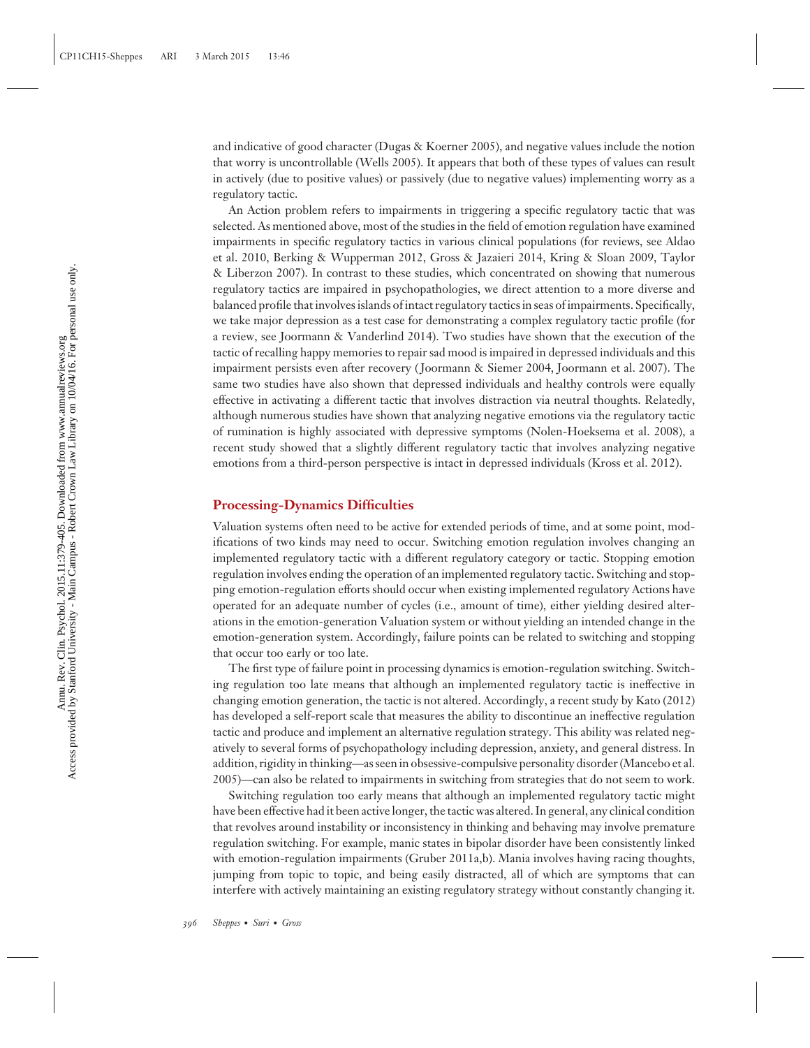and indicative of good character (Dugas & Koerner 2005), and negative values include the notion that worry is uncontrollable (Wells 2005). It appears that both of these types of values can result in actively (due to positive values) or passively (due to negative values) implementing worry as a regulatory tactic.

An Action problem refers to impairments in triggering a specific regulatory tactic that was selected. As mentioned above, most of the studies in the field of emotion regulation have examined impairments in specific regulatory tactics in various clinical populations (for reviews, see Aldao et al. 2010, Berking & Wupperman 2012, Gross & Jazaieri 2014, Kring & Sloan 2009, Taylor & Liberzon 2007). In contrast to these studies, which concentrated on showing that numerous regulatory tactics are impaired in psychopathologies, we direct attention to a more diverse and balanced profile that involves islands of intact regulatory tactics in seas of impairments. Specifically, we take major depression as a test case for demonstrating a complex regulatory tactic profile (for a review, see Joormann & Vanderlind 2014). Two studies have shown that the execution of the tactic of recalling happy memories to repair sad mood is impaired in depressed individuals and this impairment persists even after recovery ( Joormann & Siemer 2004, Joormann et al. 2007). The same two studies have also shown that depressed individuals and healthy controls were equally effective in activating a different tactic that involves distraction via neutral thoughts. Relatedly, although numerous studies have shown that analyzing negative emotions via the regulatory tactic of rumination is highly associated with depressive symptoms (Nolen-Hoeksema et al. 2008), a recent study showed that a slightly different regulatory tactic that involves analyzing negative emotions from a third-person perspective is intact in depressed individuals (Kross et al. 2012).

### **Processing-Dynamics Difficulties**

Valuation systems often need to be active for extended periods of time, and at some point, modifications of two kinds may need to occur. Switching emotion regulation involves changing an implemented regulatory tactic with a different regulatory category or tactic. Stopping emotion regulation involves ending the operation of an implemented regulatory tactic. Switching and stopping emotion-regulation efforts should occur when existing implemented regulatory Actions have operated for an adequate number of cycles (i.e., amount of time), either yielding desired alterations in the emotion-generation Valuation system or without yielding an intended change in the emotion-generation system. Accordingly, failure points can be related to switching and stopping that occur too early or too late.

The first type of failure point in processing dynamics is emotion-regulation switching. Switching regulation too late means that although an implemented regulatory tactic is ineffective in changing emotion generation, the tactic is not altered. Accordingly, a recent study by Kato (2012) has developed a self-report scale that measures the ability to discontinue an ineffective regulation tactic and produce and implement an alternative regulation strategy. This ability was related negatively to several forms of psychopathology including depression, anxiety, and general distress. In addition, rigidity in thinking—as seen in obsessive-compulsive personality disorder (Mancebo et al. 2005)—can also be related to impairments in switching from strategies that do not seem to work.

Switching regulation too early means that although an implemented regulatory tactic might have been effective had it been active longer, the tactic was altered. In general, any clinical condition that revolves around instability or inconsistency in thinking and behaving may involve premature regulation switching. For example, manic states in bipolar disorder have been consistently linked with emotion-regulation impairments (Gruber 2011a,b). Mania involves having racing thoughts, jumping from topic to topic, and being easily distracted, all of which are symptoms that can interfere with actively maintaining an existing regulatory strategy without constantly changing it.

Annu. Rev. Clin. Psychol. 2015.11:379-405. Downloaded from www.annualreviews.org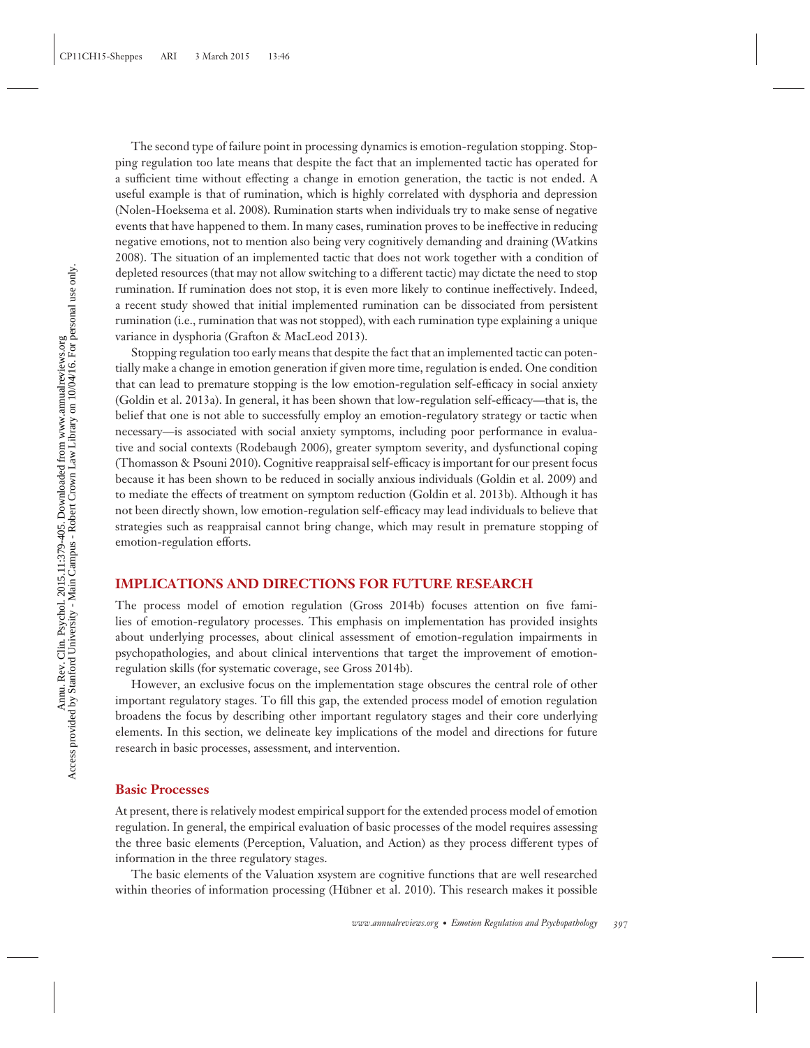The second type of failure point in processing dynamics is emotion-regulation stopping. Stopping regulation too late means that despite the fact that an implemented tactic has operated for a sufficient time without effecting a change in emotion generation, the tactic is not ended. A useful example is that of rumination, which is highly correlated with dysphoria and depression (Nolen-Hoeksema et al. 2008). Rumination starts when individuals try to make sense of negative events that have happened to them. In many cases, rumination proves to be ineffective in reducing negative emotions, not to mention also being very cognitively demanding and draining (Watkins 2008). The situation of an implemented tactic that does not work together with a condition of depleted resources (that may not allow switching to a different tactic) may dictate the need to stop rumination. If rumination does not stop, it is even more likely to continue ineffectively. Indeed, a recent study showed that initial implemented rumination can be dissociated from persistent rumination (i.e., rumination that was not stopped), with each rumination type explaining a unique variance in dysphoria (Grafton & MacLeod 2013).

Stopping regulation too early means that despite the fact that an implemented tactic can potentially make a change in emotion generation if given more time, regulation is ended. One condition that can lead to premature stopping is the low emotion-regulation self-efficacy in social anxiety (Goldin et al. 2013a). In general, it has been shown that low-regulation self-efficacy—that is, the belief that one is not able to successfully employ an emotion-regulatory strategy or tactic when necessary—is associated with social anxiety symptoms, including poor performance in evaluative and social contexts (Rodebaugh 2006), greater symptom severity, and dysfunctional coping (Thomasson & Psouni 2010). Cognitive reappraisal self-efficacy is important for our present focus because it has been shown to be reduced in socially anxious individuals (Goldin et al. 2009) and to mediate the effects of treatment on symptom reduction (Goldin et al. 2013b). Although it has not been directly shown, low emotion-regulation self-efficacy may lead individuals to believe that strategies such as reappraisal cannot bring change, which may result in premature stopping of emotion-regulation efforts.

## **IMPLICATIONS AND DIRECTIONS FOR FUTURE RESEARCH**

The process model of emotion regulation (Gross 2014b) focuses attention on five families of emotion-regulatory processes. This emphasis on implementation has provided insights about underlying processes, about clinical assessment of emotion-regulation impairments in psychopathologies, and about clinical interventions that target the improvement of emotionregulation skills (for systematic coverage, see Gross 2014b).

However, an exclusive focus on the implementation stage obscures the central role of other important regulatory stages. To fill this gap, the extended process model of emotion regulation broadens the focus by describing other important regulatory stages and their core underlying elements. In this section, we delineate key implications of the model and directions for future research in basic processes, assessment, and intervention.

### **Basic Processes**

At present, there is relatively modest empirical support for the extended process model of emotion regulation. In general, the empirical evaluation of basic processes of the model requires assessing the three basic elements (Perception, Valuation, and Action) as they process different types of information in the three regulatory stages.

The basic elements of the Valuation xsystem are cognitive functions that are well researched within theories of information processing (Hübner et al. 2010). This research makes it possible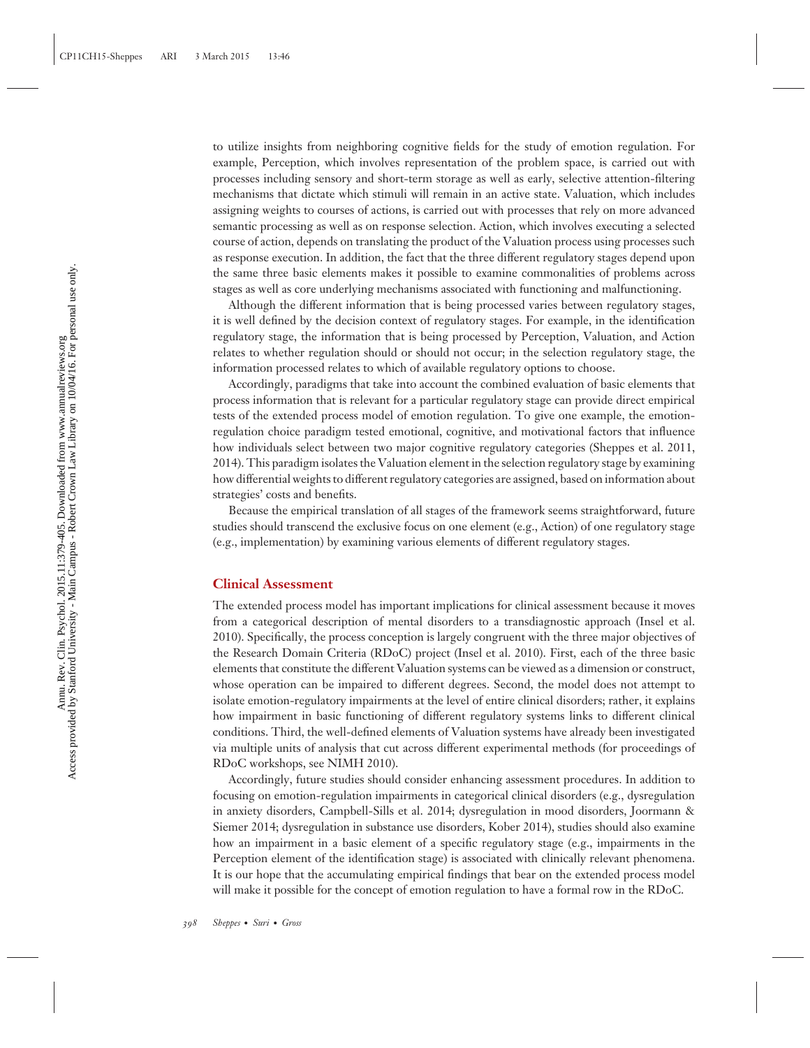to utilize insights from neighboring cognitive fields for the study of emotion regulation. For example, Perception, which involves representation of the problem space, is carried out with processes including sensory and short-term storage as well as early, selective attention-filtering mechanisms that dictate which stimuli will remain in an active state. Valuation, which includes assigning weights to courses of actions, is carried out with processes that rely on more advanced semantic processing as well as on response selection. Action, which involves executing a selected course of action, depends on translating the product of the Valuation process using processes such as response execution. In addition, the fact that the three different regulatory stages depend upon the same three basic elements makes it possible to examine commonalities of problems across stages as well as core underlying mechanisms associated with functioning and malfunctioning.

Although the different information that is being processed varies between regulatory stages, it is well defined by the decision context of regulatory stages. For example, in the identification regulatory stage, the information that is being processed by Perception, Valuation, and Action relates to whether regulation should or should not occur; in the selection regulatory stage, the information processed relates to which of available regulatory options to choose.

Accordingly, paradigms that take into account the combined evaluation of basic elements that process information that is relevant for a particular regulatory stage can provide direct empirical tests of the extended process model of emotion regulation. To give one example, the emotionregulation choice paradigm tested emotional, cognitive, and motivational factors that influence how individuals select between two major cognitive regulatory categories (Sheppes et al. 2011, 2014). This paradigm isolates the Valuation element in the selection regulatory stage by examining how differential weights to different regulatory categories are assigned, based on information about strategies' costs and benefits.

Because the empirical translation of all stages of the framework seems straightforward, future studies should transcend the exclusive focus on one element (e.g., Action) of one regulatory stage (e.g., implementation) by examining various elements of different regulatory stages.

## **Clinical Assessment**

The extended process model has important implications for clinical assessment because it moves from a categorical description of mental disorders to a transdiagnostic approach (Insel et al. 2010). Specifically, the process conception is largely congruent with the three major objectives of the Research Domain Criteria (RDoC) project (Insel et al. 2010). First, each of the three basic elements that constitute the different Valuation systems can be viewed as a dimension or construct, whose operation can be impaired to different degrees. Second, the model does not attempt to isolate emotion-regulatory impairments at the level of entire clinical disorders; rather, it explains how impairment in basic functioning of different regulatory systems links to different clinical conditions. Third, the well-defined elements of Valuation systems have already been investigated via multiple units of analysis that cut across different experimental methods (for proceedings of RDoC workshops, see NIMH 2010).

Accordingly, future studies should consider enhancing assessment procedures. In addition to focusing on emotion-regulation impairments in categorical clinical disorders (e.g., dysregulation in anxiety disorders, Campbell-Sills et al. 2014; dysregulation in mood disorders, Joormann & Siemer 2014; dysregulation in substance use disorders, Kober 2014), studies should also examine how an impairment in a basic element of a specific regulatory stage (e.g., impairments in the Perception element of the identification stage) is associated with clinically relevant phenomena. It is our hope that the accumulating empirical findings that bear on the extended process model will make it possible for the concept of emotion regulation to have a formal row in the RDoC.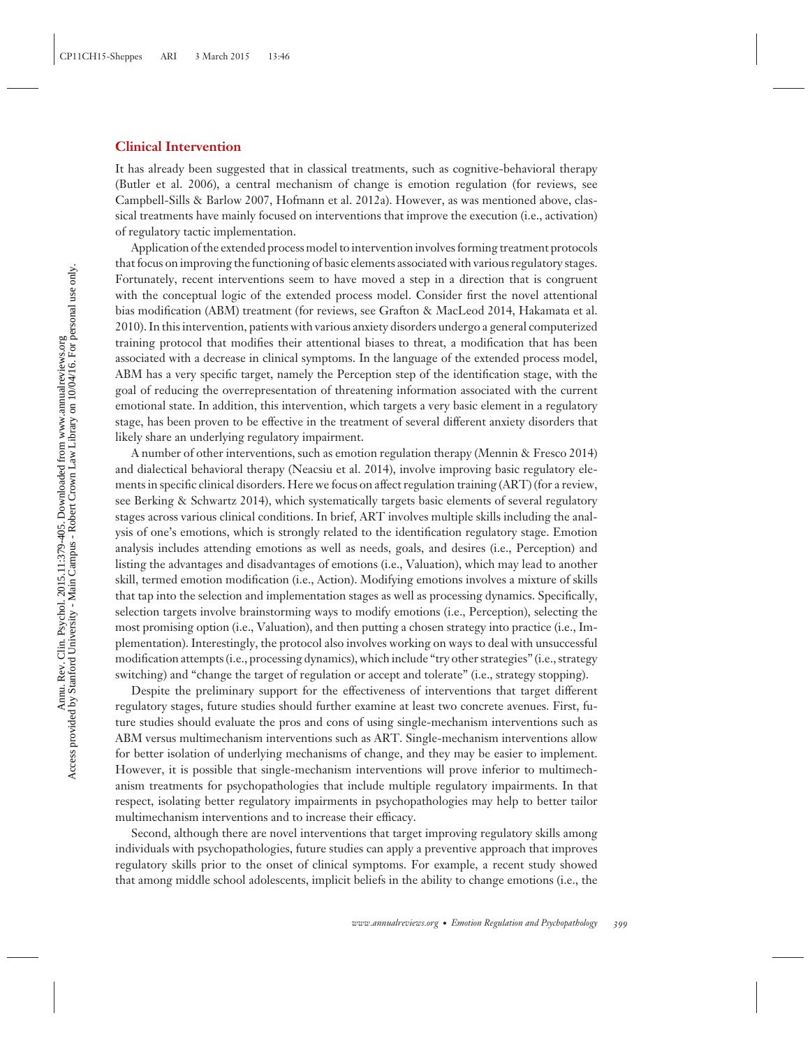## **Clinical Intervention**

It has already been suggested that in classical treatments, such as cognitive-behavioral therapy (Butler et al. 2006), a central mechanism of change is emotion regulation (for reviews, see Campbell-Sills & Barlow 2007, Hofmann et al. 2012a). However, as was mentioned above, classical treatments have mainly focused on interventions that improve the execution (i.e., activation) of regulatory tactic implementation.

Application of the extended process model to intervention involves forming treatment protocols that focus on improving the functioning of basic elements associated with various regulatory stages. Fortunately, recent interventions seem to have moved a step in a direction that is congruent with the conceptual logic of the extended process model. Consider first the novel attentional bias modification (ABM) treatment (for reviews, see Grafton & MacLeod 2014, Hakamata et al. 2010). In this intervention, patients with various anxiety disorders undergo a general computerized training protocol that modifies their attentional biases to threat, a modification that has been associated with a decrease in clinical symptoms. In the language of the extended process model, ABM has a very specific target, namely the Perception step of the identification stage, with the goal of reducing the overrepresentation of threatening information associated with the current emotional state. In addition, this intervention, which targets a very basic element in a regulatory stage, has been proven to be effective in the treatment of several different anxiety disorders that likely share an underlying regulatory impairment.

A number of other interventions, such as emotion regulation therapy (Mennin & Fresco 2014) and dialectical behavioral therapy (Neacsiu et al. 2014), involve improving basic regulatory elements in specific clinical disorders. Here we focus on affect regulation training (ART) (for a review, see Berking & Schwartz 2014), which systematically targets basic elements of several regulatory stages across various clinical conditions. In brief, ART involves multiple skills including the analysis of one's emotions, which is strongly related to the identification regulatory stage. Emotion analysis includes attending emotions as well as needs, goals, and desires (i.e., Perception) and listing the advantages and disadvantages of emotions (i.e., Valuation), which may lead to another skill, termed emotion modification (i.e., Action). Modifying emotions involves a mixture of skills that tap into the selection and implementation stages as well as processing dynamics. Specifically, selection targets involve brainstorming ways to modify emotions (i.e., Perception), selecting the most promising option (i.e., Valuation), and then putting a chosen strategy into practice (i.e., Implementation). Interestingly, the protocol also involves working on ways to deal with unsuccessful modification attempts (i.e., processing dynamics), which include "try other strategies" (i.e., strategy switching) and "change the target of regulation or accept and tolerate" (i.e., strategy stopping).

Despite the preliminary support for the effectiveness of interventions that target different regulatory stages, future studies should further examine at least two concrete avenues. First, future studies should evaluate the pros and cons of using single-mechanism interventions such as ABM versus multimechanism interventions such as ART. Single-mechanism interventions allow for better isolation of underlying mechanisms of change, and they may be easier to implement. However, it is possible that single-mechanism interventions will prove inferior to multimechanism treatments for psychopathologies that include multiple regulatory impairments. In that respect, isolating better regulatory impairments in psychopathologies may help to better tailor multimechanism interventions and to increase their efficacy.

Second, although there are novel interventions that target improving regulatory skills among individuals with psychopathologies, future studies can apply a preventive approach that improves regulatory skills prior to the onset of clinical symptoms. For example, a recent study showed that among middle school adolescents, implicit beliefs in the ability to change emotions (i.e., the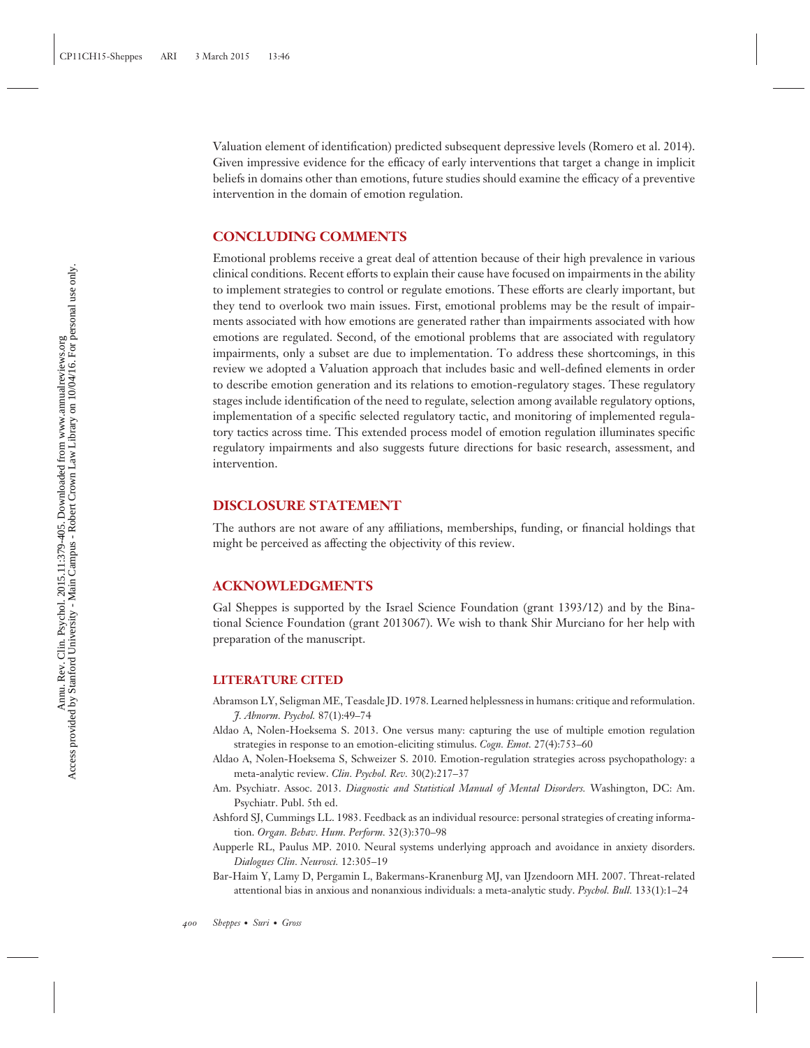Valuation element of identification) predicted subsequent depressive levels (Romero et al. 2014). Given impressive evidence for the efficacy of early interventions that target a change in implicit beliefs in domains other than emotions, future studies should examine the efficacy of a preventive intervention in the domain of emotion regulation.

### **CONCLUDING COMMENTS**

Emotional problems receive a great deal of attention because of their high prevalence in various clinical conditions. Recent efforts to explain their cause have focused on impairments in the ability to implement strategies to control or regulate emotions. These efforts are clearly important, but they tend to overlook two main issues. First, emotional problems may be the result of impairments associated with how emotions are generated rather than impairments associated with how emotions are regulated. Second, of the emotional problems that are associated with regulatory impairments, only a subset are due to implementation. To address these shortcomings, in this review we adopted a Valuation approach that includes basic and well-defined elements in order to describe emotion generation and its relations to emotion-regulatory stages. These regulatory stages include identification of the need to regulate, selection among available regulatory options, implementation of a specific selected regulatory tactic, and monitoring of implemented regulatory tactics across time. This extended process model of emotion regulation illuminates specific regulatory impairments and also suggests future directions for basic research, assessment, and intervention.

## **DISCLOSURE STATEMENT**

The authors are not aware of any affiliations, memberships, funding, or financial holdings that might be perceived as affecting the objectivity of this review.

## **ACKNOWLEDGMENTS**

Gal Sheppes is supported by the Israel Science Foundation (grant 1393/12) and by the Binational Science Foundation (grant 2013067). We wish to thank Shir Murciano for her help with preparation of the manuscript.

#### **LITERATURE CITED**

- Abramson LY, Seligman ME, Teasdale JD. 1978. Learned helplessness in humans: critique and reformulation. *J. Abnorm. Psychol.* 87(1):49–74
- Aldao A, Nolen-Hoeksema S. 2013. One versus many: capturing the use of multiple emotion regulation strategies in response to an emotion-eliciting stimulus. *Cogn. Emot.* 27(4):753–60
- Aldao A, Nolen-Hoeksema S, Schweizer S. 2010. Emotion-regulation strategies across psychopathology: a meta-analytic review. *Clin. Psychol. Rev.* 30(2):217–37
- Am. Psychiatr. Assoc. 2013. *Diagnostic and Statistical Manual of Mental Disorders.* Washington, DC: Am. Psychiatr. Publ. 5th ed.
- Ashford SJ, Cummings LL. 1983. Feedback as an individual resource: personal strategies of creating information. *Organ. Behav. Hum. Perform.* 32(3):370–98
- Aupperle RL, Paulus MP. 2010. Neural systems underlying approach and avoidance in anxiety disorders. *Dialogues Clin. Neurosci.* 12:305–19
- Bar-Haim Y, Lamy D, Pergamin L, Bakermans-Kranenburg MJ, van IJzendoorn MH. 2007. Threat-related attentional bias in anxious and nonanxious individuals: a meta-analytic study. *Psychol. Bull.* 133(1):1–24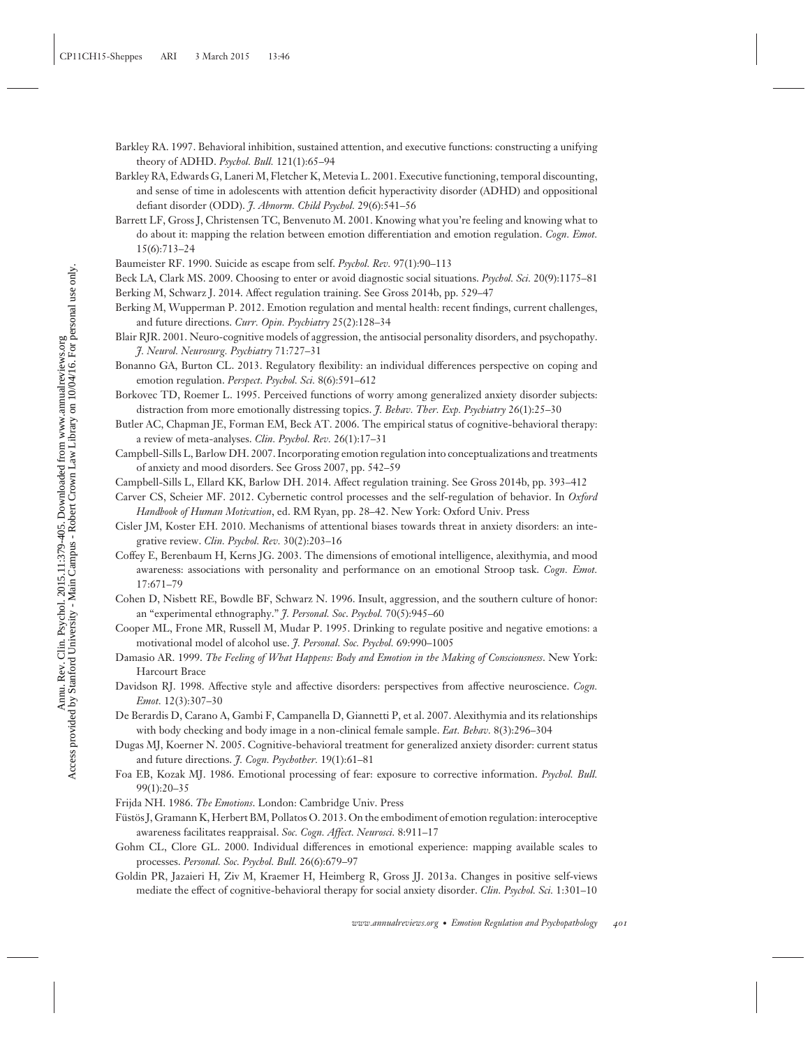- Barkley RA. 1997. Behavioral inhibition, sustained attention, and executive functions: constructing a unifying theory of ADHD. *Psychol. Bull.* 121(1):65–94
- Barkley RA, Edwards G, Laneri M, Fletcher K, Metevia L. 2001. Executive functioning, temporal discounting, and sense of time in adolescents with attention deficit hyperactivity disorder (ADHD) and oppositional defiant disorder (ODD). *J. Abnorm. Child Psychol.* 29(6):541–56
- Barrett LF, Gross J, Christensen TC, Benvenuto M. 2001. Knowing what you're feeling and knowing what to do about it: mapping the relation between emotion differentiation and emotion regulation. *Cogn. Emot.* 15(6):713–24
- Baumeister RF. 1990. Suicide as escape from self. *Psychol. Rev.* 97(1):90–113
- Beck LA, Clark MS. 2009. Choosing to enter or avoid diagnostic social situations. *Psychol. Sci.* 20(9):1175–81
- Berking M, Schwarz J. 2014. Affect regulation training. See Gross 2014b, pp. 529–47
- Berking M, Wupperman P. 2012. Emotion regulation and mental health: recent findings, current challenges, and future directions. *Curr. Opin. Psychiatry* 25(2):128–34
- Blair RJR. 2001. Neuro-cognitive models of aggression, the antisocial personality disorders, and psychopathy. *J. Neurol. Neurosurg. Psychiatry* 71:727–31
- Bonanno GA, Burton CL. 2013. Regulatory flexibility: an individual differences perspective on coping and emotion regulation. *Perspect. Psychol. Sci.* 8(6):591–612
- Borkovec TD, Roemer L. 1995. Perceived functions of worry among generalized anxiety disorder subjects: distraction from more emotionally distressing topics. *J. Behav. Ther. Exp. Psychiatry* 26(1):25–30
- Butler AC, Chapman JE, Forman EM, Beck AT. 2006. The empirical status of cognitive-behavioral therapy: a review of meta-analyses. *Clin. Psychol. Rev.* 26(1):17–31
- Campbell-Sills L, Barlow DH. 2007. Incorporating emotion regulation into conceptualizations and treatments of anxiety and mood disorders. See Gross 2007, pp. 542–59
- Campbell-Sills L, Ellard KK, Barlow DH. 2014. Affect regulation training. See Gross 2014b, pp. 393–412
- Carver CS, Scheier MF. 2012. Cybernetic control processes and the self-regulation of behavior. In *Oxford Handbook of Human Motivation*, ed. RM Ryan, pp. 28–42. New York: Oxford Univ. Press
- Cisler JM, Koster EH. 2010. Mechanisms of attentional biases towards threat in anxiety disorders: an integrative review. *Clin. Psychol. Rev.* 30(2):203–16
- Coffey E, Berenbaum H, Kerns JG. 2003. The dimensions of emotional intelligence, alexithymia, and mood awareness: associations with personality and performance on an emotional Stroop task. *Cogn. Emot.* 17:671–79
- Cohen D, Nisbett RE, Bowdle BF, Schwarz N. 1996. Insult, aggression, and the southern culture of honor: an "experimental ethnography." *J. Personal. Soc*. *Psychol.* 70(5):945–60
- Cooper ML, Frone MR, Russell M, Mudar P. 1995. Drinking to regulate positive and negative emotions: a motivational model of alcohol use. *J. Personal. Soc. Psychol.* 69:990–1005
- Damasio AR. 1999. *The Feeling of What Happens: Body and Emotion in the Making of Consciousness*. New York: Harcourt Brace
- Davidson RJ. 1998. Affective style and affective disorders: perspectives from affective neuroscience. *Cogn. Emot.* 12(3):307–30
- De Berardis D, Carano A, Gambi F, Campanella D, Giannetti P, et al. 2007. Alexithymia and its relationships with body checking and body image in a non-clinical female sample. *Eat. Behav.* 8(3):296–304
- Dugas MJ, Koerner N. 2005. Cognitive-behavioral treatment for generalized anxiety disorder: current status and future directions. *J. Cogn. Psychother.* 19(1):61–81
- Foa EB, Kozak MJ. 1986. Emotional processing of fear: exposure to corrective information. *Psychol. Bull.* 99(1):20–35
- Frijda NH. 1986. *The Emotions*. London: Cambridge Univ. Press
- Füstös J, Gramann K, Herbert BM, Pollatos O. 2013. On the embodiment of emotion regulation: interoceptive awareness facilitates reappraisal. *Soc. Cogn. Affect. Neurosci.* 8:911–17
- Gohm CL, Clore GL. 2000. Individual differences in emotional experience: mapping available scales to processes. *Personal. Soc. Psychol. Bull.* 26(6):679–97
- Goldin PR, Jazaieri H, Ziv M, Kraemer H, Heimberg R, Gross JJ. 2013a. Changes in positive self-views mediate the effect of cognitive-behavioral therapy for social anxiety disorder. *Clin. Psychol. Sci.* 1:301–10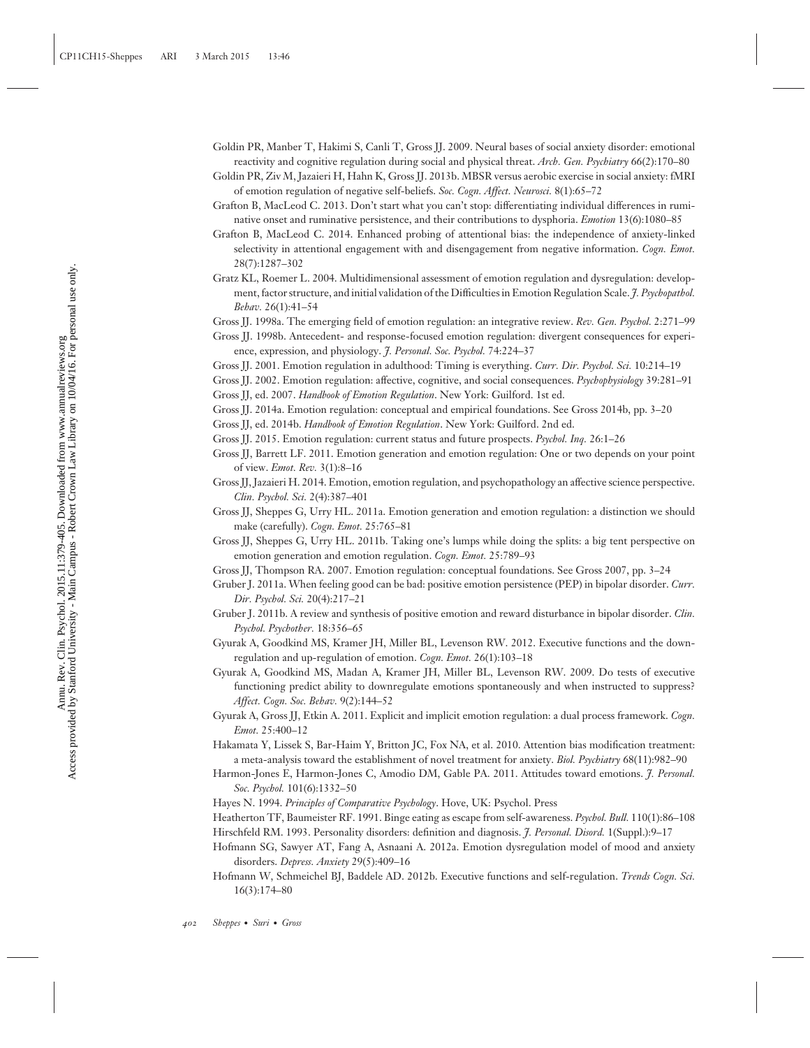- Goldin PR, Manber T, Hakimi S, Canli T, Gross JJ. 2009. Neural bases of social anxiety disorder: emotional reactivity and cognitive regulation during social and physical threat. *Arch. Gen. Psychiatry* 66(2):170–80
- Goldin PR, Ziv M, Jazaieri H, Hahn K, Gross JJ. 2013b. MBSR versus aerobic exercise in social anxiety: fMRI of emotion regulation of negative self-beliefs. *Soc. Cogn. Affect. Neurosci.* 8(1):65–72
- Grafton B, MacLeod C. 2013. Don't start what you can't stop: differentiating individual differences in ruminative onset and ruminative persistence, and their contributions to dysphoria. *Emotion* 13(6):1080–85
- Grafton B, MacLeod C. 2014. Enhanced probing of attentional bias: the independence of anxiety-linked selectivity in attentional engagement with and disengagement from negative information. *Cogn. Emot.* 28(7):1287–302
- Gratz KL, Roemer L. 2004. Multidimensional assessment of emotion regulation and dysregulation: development, factor structure, and initial validation of the Difficulties in Emotion Regulation Scale. *J. Psychopathol. Behav.* 26(1):41–54
- Gross JJ. 1998a. The emerging field of emotion regulation: an integrative review. *Rev. Gen. Psychol.* 2:271–99
- Gross JJ. 1998b. Antecedent- and response-focused emotion regulation: divergent consequences for experience, expression, and physiology. *J. Personal. Soc. Psychol.* 74:224–37
- Gross JJ. 2001. Emotion regulation in adulthood: Timing is everything. *Curr. Dir. Psychol. Sci.* 10:214–19
- Gross JJ. 2002. Emotion regulation: affective, cognitive, and social consequences. *Psychophysiology* 39:281–91
- Gross JJ, ed. 2007. *Handbook of Emotion Regulation*. New York: Guilford. 1st ed.
- Gross JJ. 2014a. Emotion regulation: conceptual and empirical foundations. See Gross 2014b, pp. 3–20
- Gross JJ, ed. 2014b. *Handbook of Emotion Regulation*. New York: Guilford. 2nd ed.
- Gross JJ. 2015. Emotion regulation: current status and future prospects. *Psychol. Inq.* 26:1–26
- Gross JJ, Barrett LF. 2011. Emotion generation and emotion regulation: One or two depends on your point of view. *Emot. Rev.* 3(1):8–16
- Gross JJ, Jazaieri H. 2014. Emotion, emotion regulation, and psychopathology an affective science perspective. *Clin. Psychol. Sci.* 2(4):387–401
- Gross JJ, Sheppes G, Urry HL. 2011a. Emotion generation and emotion regulation: a distinction we should make (carefully). *Cogn. Emot.* 25:765–81
- Gross JJ, Sheppes G, Urry HL. 2011b. Taking one's lumps while doing the splits: a big tent perspective on emotion generation and emotion regulation. *Cogn. Emot.* 25:789–93
- Gross JJ, Thompson RA. 2007. Emotion regulation: conceptual foundations. See Gross 2007, pp. 3–24
- Gruber J. 2011a. When feeling good can be bad: positive emotion persistence (PEP) in bipolar disorder. *Curr. Dir. Psychol. Sci.* 20(4):217–21
- Gruber J. 2011b. A review and synthesis of positive emotion and reward disturbance in bipolar disorder. *Clin. Psychol. Psychother.* 18:356–65
- Gyurak A, Goodkind MS, Kramer JH, Miller BL, Levenson RW. 2012. Executive functions and the downregulation and up-regulation of emotion. *Cogn. Emot.* 26(1):103–18
- Gyurak A, Goodkind MS, Madan A, Kramer JH, Miller BL, Levenson RW. 2009. Do tests of executive functioning predict ability to downregulate emotions spontaneously and when instructed to suppress? *Affect. Cogn. Soc. Behav.* 9(2):144–52
- Gyurak A, Gross JJ, Etkin A. 2011. Explicit and implicit emotion regulation: a dual process framework. *Cogn. Emot.* 25:400–12
- Hakamata Y, Lissek S, Bar-Haim Y, Britton JC, Fox NA, et al. 2010. Attention bias modification treatment: a meta-analysis toward the establishment of novel treatment for anxiety. *Biol. Psychiatry* 68(11):982–90
- Harmon-Jones E, Harmon-Jones C, Amodio DM, Gable PA. 2011. Attitudes toward emotions. *J. Personal. Soc. Psychol.* 101(6):1332–50

Hayes N. 1994. *Principles of Comparative Psychology*. Hove, UK: Psychol. Press

- Heatherton TF, Baumeister RF. 1991. Binge eating as escape from self-awareness. *Psychol. Bull.* 110(1):86–108
- Hirschfeld RM. 1993. Personality disorders: definition and diagnosis. *J. Personal. Disord.* 1(Suppl.):9–17
- Hofmann SG, Sawyer AT, Fang A, Asnaani A. 2012a. Emotion dysregulation model of mood and anxiety disorders. *Depress. Anxiety* 29(5):409–16
- Hofmann W, Schmeichel BJ, Baddele AD. 2012b. Executive functions and self-regulation. *Trends Cogn. Sci.* 16(3):174–80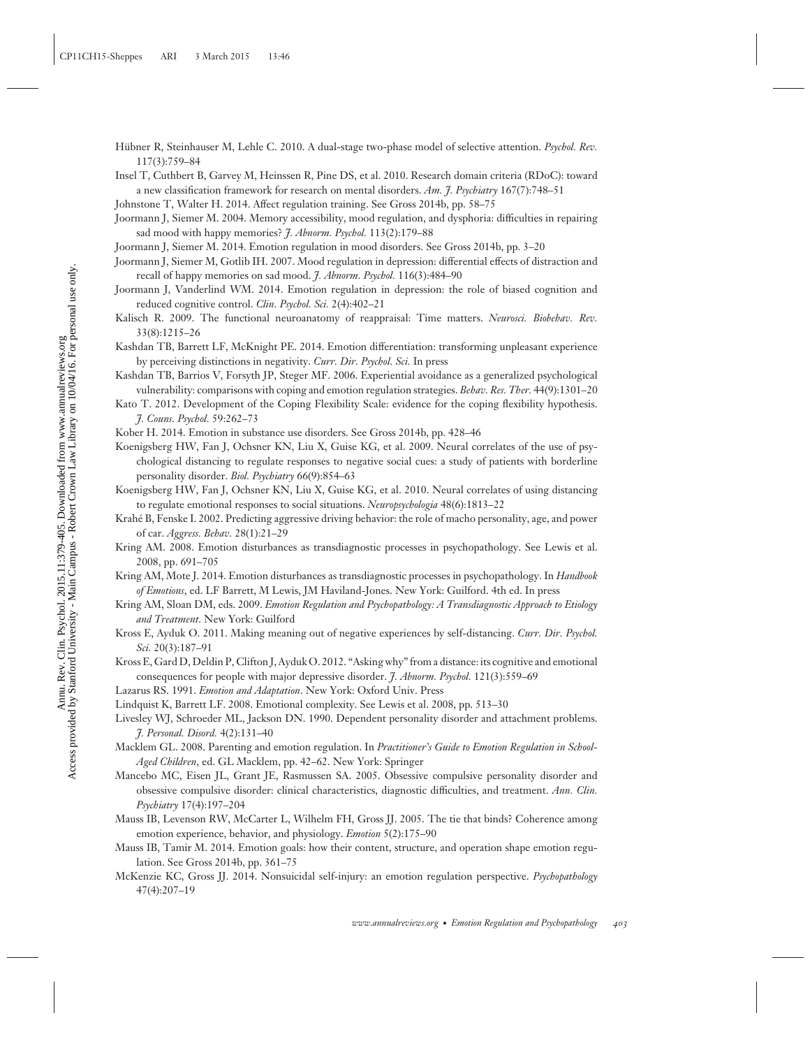- Annu. Rev. Clin. Psychol. 2015.11:379-405. Downloaded from www.annualreviews.org<br>Access provided by Stanford University Main Campus Robert Crown Law Library on 10/04/16. For personal use only Access provided by Stanford University - Main Campus - Robert Crown Law Library on 10/04/16. For personal use only.Annu. Rev. Clin. Psychol. 2015.11:379-405. Downloaded from www.annualreviews.org
- Hübner R, Steinhauser M, Lehle C. 2010. A dual-stage two-phase model of selective attention. *Psychol. Rev.* 117(3):759–84
- Insel T, Cuthbert B, Garvey M, Heinssen R, Pine DS, et al. 2010. Research domain criteria (RDoC): toward a new classification framework for research on mental disorders. *Am. J. Psychiatry* 167(7):748–51
- Johnstone T, Walter H. 2014. Affect regulation training. See Gross 2014b, pp. 58–75
- Joormann J, Siemer M. 2004. Memory accessibility, mood regulation, and dysphoria: difficulties in repairing sad mood with happy memories? *J. Abnorm. Psychol.* 113(2):179–88
- Joormann J, Siemer M. 2014. Emotion regulation in mood disorders. See Gross 2014b, pp. 3–20
- Joormann J, Siemer M, Gotlib IH. 2007. Mood regulation in depression: differential effects of distraction and recall of happy memories on sad mood. *J. Abnorm. Psychol.* 116(3):484–90
- Joormann J, Vanderlind WM. 2014. Emotion regulation in depression: the role of biased cognition and reduced cognitive control. *Clin. Psychol. Sci.* 2(4):402–21
- Kalisch R. 2009. The functional neuroanatomy of reappraisal: Time matters. *Neurosci. Biobehav. Rev.* 33(8):1215–26
- Kashdan TB, Barrett LF, McKnight PE. 2014. Emotion differentiation: transforming unpleasant experience by perceiving distinctions in negativity. *Curr. Dir. Psychol. Sci.* In press
- Kashdan TB, Barrios V, Forsyth JP, Steger MF. 2006. Experiential avoidance as a generalized psychological vulnerability: comparisons with coping and emotion regulation strategies. *Behav. Res. Ther.* 44(9):1301–20
- Kato T. 2012. Development of the Coping Flexibility Scale: evidence for the coping flexibility hypothesis. *J. Couns. Psychol.* 59:262–73
- Kober H. 2014. Emotion in substance use disorders. See Gross 2014b, pp. 428–46
- Koenigsberg HW, Fan J, Ochsner KN, Liu X, Guise KG, et al. 2009. Neural correlates of the use of psychological distancing to regulate responses to negative social cues: a study of patients with borderline personality disorder. *Biol. Psychiatry* 66(9):854–63
- Koenigsberg HW, Fan J, Ochsner KN, Liu X, Guise KG, et al. 2010. Neural correlates of using distancing to regulate emotional responses to social situations. *Neuropsychologia* 48(6):1813–22
- Krahé B, Fenske I. 2002. Predicting aggressive driving behavior: the role of macho personality, age, and power of car. *Aggress. Behav.* 28(1):21–29
- Kring AM. 2008. Emotion disturbances as transdiagnostic processes in psychopathology. See Lewis et al. 2008, pp. 691–705
- Kring AM, Mote J. 2014. Emotion disturbances as transdiagnostic processes in psychopathology. In *Handbook of Emotions*, ed. LF Barrett, M Lewis, JM Haviland-Jones. New York: Guilford. 4th ed. In press
- Kring AM, Sloan DM, eds. 2009. *Emotion Regulation and Psychopathology: A Transdiagnostic Approach to Etiology and Treatment.* New York: Guilford
- Kross E, Ayduk O. 2011. Making meaning out of negative experiences by self-distancing. *Curr. Dir. Psychol. Sci.* 20(3):187–91
- Kross E, Gard D, Deldin P, Clifton J, Ayduk O. 2012. "Asking why" from a distance: its cognitive and emotional consequences for people with major depressive disorder. *J. Abnorm. Psychol.* 121(3):559–69
- Lazarus RS. 1991. *Emotion and Adaptation*. New York: Oxford Univ. Press
- Lindquist K, Barrett LF. 2008. Emotional complexity. See Lewis et al. 2008, pp. 513–30
- Livesley WJ, Schroeder ML, Jackson DN. 1990. Dependent personality disorder and attachment problems. *J. Personal. Disord.* 4(2):131–40
- Macklem GL. 2008. Parenting and emotion regulation. In *Practitioner's Guide to Emotion Regulation in School-Aged Children*, ed. GL Macklem, pp. 42–62. New York: Springer
- Mancebo MC, Eisen JL, Grant JE, Rasmussen SA. 2005. Obsessive compulsive personality disorder and obsessive compulsive disorder: clinical characteristics, diagnostic difficulties, and treatment. *Ann. Clin. Psychiatry* 17(4):197–204
- Mauss IB, Levenson RW, McCarter L, Wilhelm FH, Gross JJ. 2005. The tie that binds? Coherence among emotion experience, behavior, and physiology. *Emotion* 5(2):175–90
- Mauss IB, Tamir M. 2014. Emotion goals: how their content, structure, and operation shape emotion regulation. See Gross 2014b, pp. 361–75
- McKenzie KC, Gross JJ. 2014. Nonsuicidal self-injury: an emotion regulation perspective. *Psychopathology* 47(4):207–19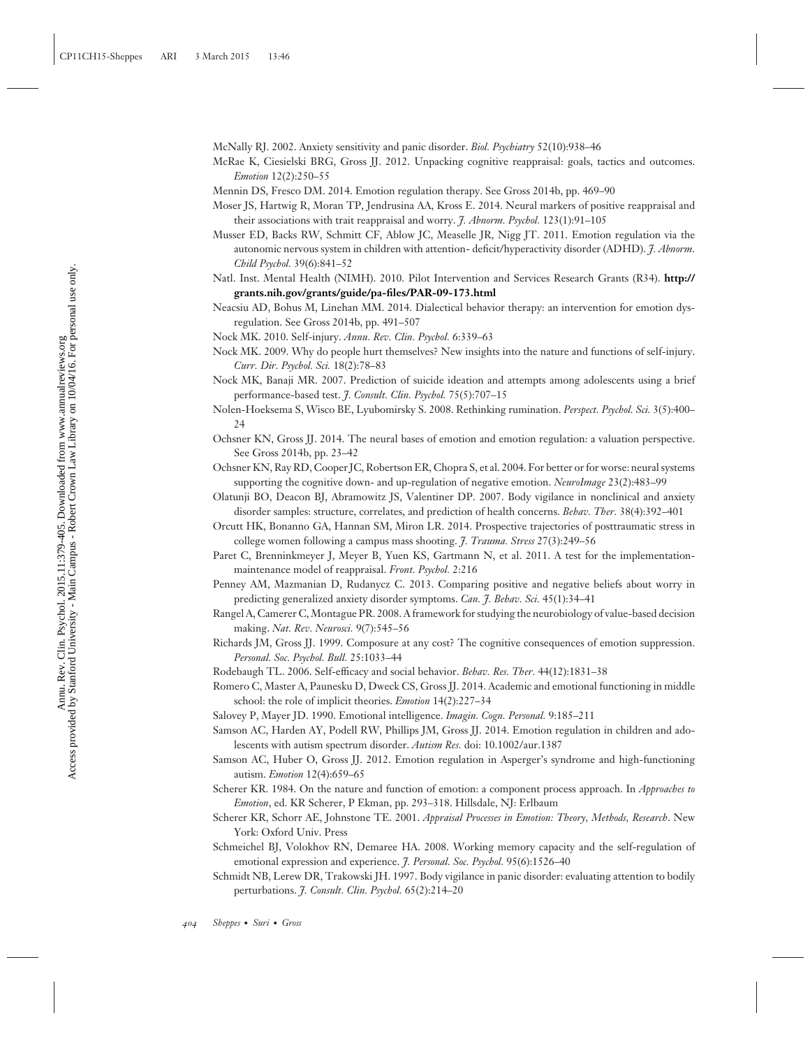McNally RJ. 2002. Anxiety sensitivity and panic disorder. *Biol. Psychiatry* 52(10):938–46

- McRae K, Ciesielski BRG, Gross JJ. 2012. Unpacking cognitive reappraisal: goals, tactics and outcomes. *Emotion* 12(2):250–55
- Mennin DS, Fresco DM. 2014. Emotion regulation therapy. See Gross 2014b, pp. 469–90
- Moser JS, Hartwig R, Moran TP, Jendrusina AA, Kross E. 2014. Neural markers of positive reappraisal and their associations with trait reappraisal and worry. *J. Abnorm. Psychol.* 123(1):91–105
- Musser ED, Backs RW, Schmitt CF, Ablow JC, Measelle JR, Nigg JT. 2011. Emotion regulation via the autonomic nervous system in children with attention- deficit/hyperactivity disorder (ADHD). *J. Abnorm. Child Psychol.* 39(6):841–52
- Natl. Inst. Mental Health (NIMH). 2010. Pilot Intervention and Services Research Grants (R34). **[http://](http://grants.nih.gov/grants/guide/pa-files/PAR-09-173.html) [grants.nih.gov/grants/guide/pa-files/PAR-09-173.html](http://grants.nih.gov/grants/guide/pa-files/PAR-09-173.html)**
- Neacsiu AD, Bohus M, Linehan MM. 2014. Dialectical behavior therapy: an intervention for emotion dysregulation. See Gross 2014b, pp. 491–507
- Nock MK. 2010. Self-injury. *Annu. Rev. Clin. Psychol.* 6:339–63
- Nock MK. 2009. Why do people hurt themselves? New insights into the nature and functions of self-injury. *Curr. Dir. Psychol. Sci.* 18(2):78–83
- Nock MK, Banaji MR. 2007. Prediction of suicide ideation and attempts among adolescents using a brief performance-based test. *J. Consult. Clin. Psychol.* 75(5):707–15
- Nolen-Hoeksema S, Wisco BE, Lyubomirsky S. 2008. Rethinking rumination. *Perspect. Psychol. Sci.* 3(5):400– 24
- Ochsner KN, Gross JJ. 2014. The neural bases of emotion and emotion regulation: a valuation perspective. See Gross 2014b, pp. 23–42
- Ochsner KN, Ray RD, Cooper JC, Robertson ER, Chopra S, et al. 2004. For better or for worse: neural systems supporting the cognitive down- and up-regulation of negative emotion. *NeuroImage* 23(2):483–99
- Olatunji BO, Deacon BJ, Abramowitz JS, Valentiner DP. 2007. Body vigilance in nonclinical and anxiety disorder samples: structure, correlates, and prediction of health concerns. *Behav. Ther.* 38(4):392–401
- Orcutt HK, Bonanno GA, Hannan SM, Miron LR. 2014. Prospective trajectories of posttraumatic stress in college women following a campus mass shooting. *J. Trauma. Stress* 27(3):249–56
- Paret C, Brenninkmeyer J, Meyer B, Yuen KS, Gartmann N, et al. 2011. A test for the implementationmaintenance model of reappraisal. *Front. Psychol.* 2:216
- Penney AM, Mazmanian D, Rudanycz C. 2013. Comparing positive and negative beliefs about worry in predicting generalized anxiety disorder symptoms. *Can. J. Behav. Sci.* 45(1):34–41
- Rangel A, Camerer C, Montague PR. 2008. A framework for studying the neurobiology of value-based decision making. *Nat. Rev. Neurosci.* 9(7):545–56
- Richards JM, Gross JJ. 1999. Composure at any cost? The cognitive consequences of emotion suppression. *Personal. Soc. Psychol. Bull.* 25:1033–44
- Rodebaugh TL. 2006. Self-efficacy and social behavior. *Behav. Res. Ther.* 44(12):1831–38
- Romero C, Master A, Paunesku D, Dweck CS, Gross JJ. 2014. Academic and emotional functioning in middle school: the role of implicit theories. *Emotion* 14(2):227–34
- Salovey P, Mayer JD. 1990. Emotional intelligence. *Imagin. Cogn. Personal.* 9:185–211
- Samson AC, Harden AY, Podell RW, Phillips JM, Gross JJ. 2014. Emotion regulation in children and adolescents with autism spectrum disorder. *Autism Res.* doi: 10.1002/aur.1387
- Samson AC, Huber O, Gross JJ. 2012. Emotion regulation in Asperger's syndrome and high-functioning autism. *Emotion* 12(4):659–65
- Scherer KR. 1984. On the nature and function of emotion: a component process approach. In *Approaches to Emotion*, ed. KR Scherer, P Ekman, pp. 293–318. Hillsdale, NJ: Erlbaum
- Scherer KR, Schorr AE, Johnstone TE. 2001. *Appraisal Processes in Emotion: Theory, Methods, Research*. New York: Oxford Univ. Press
- Schmeichel BJ, Volokhov RN, Demaree HA. 2008. Working memory capacity and the self-regulation of emotional expression and experience. *J. Personal. Soc. Psychol.* 95(6):1526–40
- Schmidt NB, Lerew DR, Trakowski JH. 1997. Body vigilance in panic disorder: evaluating attention to bodily perturbations. *J. Consult. Clin. Psychol.* 65(2):214–20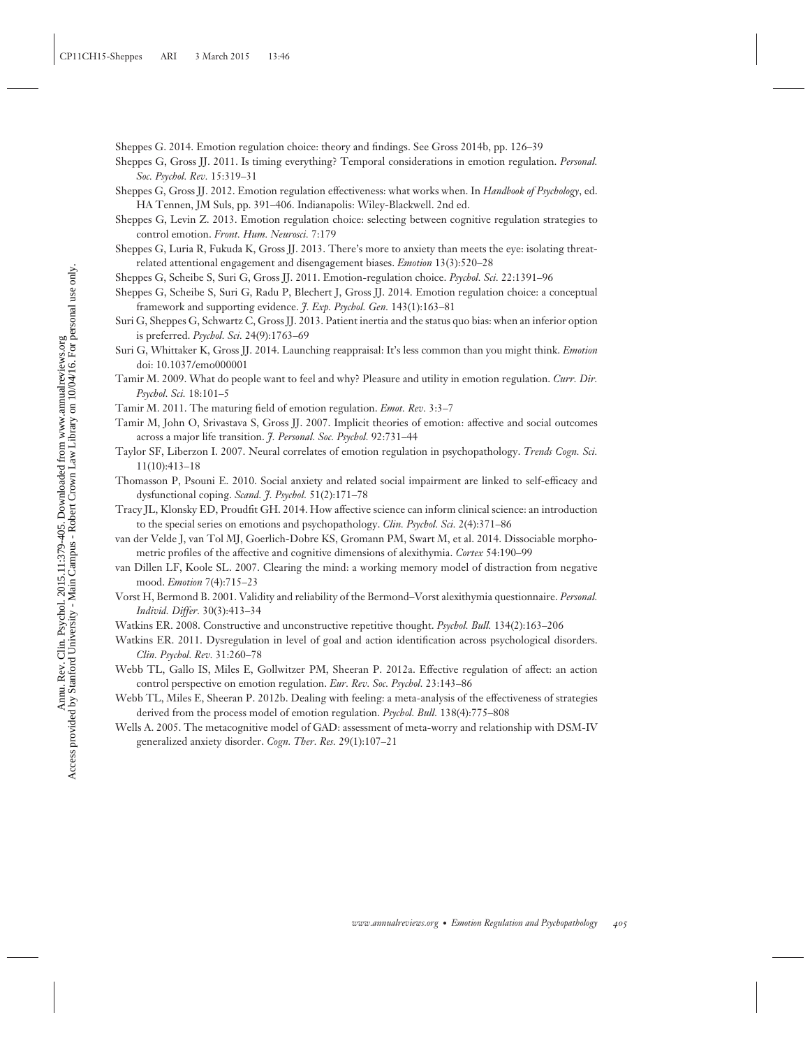- Sheppes G. 2014. Emotion regulation choice: theory and findings. See Gross 2014b, pp. 126–39
- Sheppes G, Gross JJ. 2011. Is timing everything? Temporal considerations in emotion regulation. *Personal. Soc. Psychol. Rev.* 15:319–31
- Sheppes G, Gross JJ. 2012. Emotion regulation effectiveness: what works when. In *Handbook of Psychology*, ed. HA Tennen, JM Suls, pp. 391–406. Indianapolis: Wiley-Blackwell. 2nd ed.
- Sheppes G, Levin Z. 2013. Emotion regulation choice: selecting between cognitive regulation strategies to control emotion. *Front. Hum. Neurosci.* 7:179
- Sheppes G, Luria R, Fukuda K, Gross JJ. 2013. There's more to anxiety than meets the eye: isolating threatrelated attentional engagement and disengagement biases. *Emotion* 13(3):520–28
- Sheppes G, Scheibe S, Suri G, Gross JJ. 2011. Emotion-regulation choice. *Psychol. Sci.* 22:1391–96
- Sheppes G, Scheibe S, Suri G, Radu P, Blechert J, Gross JJ. 2014. Emotion regulation choice: a conceptual framework and supporting evidence. *J. Exp. Psychol. Gen.* 143(1):163–81
- Suri G, Sheppes G, Schwartz C, Gross JJ. 2013. Patient inertia and the status quo bias: when an inferior option is preferred. *Psychol. Sci.* 24(9):1763–69
- Suri G, Whittaker K, Gross JJ. 2014. Launching reappraisal: It's less common than you might think. *Emotion* doi: 10.1037/emo000001
- Tamir M. 2009. What do people want to feel and why? Pleasure and utility in emotion regulation. *Curr. Dir. Psychol. Sci.* 18:101–5
- Tamir M. 2011. The maturing field of emotion regulation. *Emot. Rev.* 3:3–7
- Tamir M, John O, Srivastava S, Gross JJ. 2007. Implicit theories of emotion: affective and social outcomes across a major life transition. *J. Personal. Soc. Psychol.* 92:731–44
- Taylor SF, Liberzon I. 2007. Neural correlates of emotion regulation in psychopathology. *Trends Cogn. Sci.* 11(10):413–18
- Thomasson P, Psouni E. 2010. Social anxiety and related social impairment are linked to self-efficacy and dysfunctional coping. *Scand. J. Psychol.* 51(2):171–78
- Tracy JL, Klonsky ED, Proudfit GH. 2014. How affective science can inform clinical science: an introduction to the special series on emotions and psychopathology. *Clin. Psychol. Sci.* 2(4):371–86
- van der Velde J, van Tol MJ, Goerlich-Dobre KS, Gromann PM, Swart M, et al. 2014. Dissociable morphometric profiles of the affective and cognitive dimensions of alexithymia. *Cortex* 54:190–99
- van Dillen LF, Koole SL. 2007. Clearing the mind: a working memory model of distraction from negative mood. *Emotion* 7(4):715–23
- Vorst H, Bermond B. 2001. Validity and reliability of the Bermond–Vorst alexithymia questionnaire. *Personal. Individ. Differ.* 30(3):413–34
- Watkins ER. 2008. Constructive and unconstructive repetitive thought. *Psychol. Bull.* 134(2):163–206
- Watkins ER. 2011. Dysregulation in level of goal and action identification across psychological disorders. *Clin. Psychol. Rev.* 31:260–78
- Webb TL, Gallo IS, Miles E, Gollwitzer PM, Sheeran P. 2012a. Effective regulation of affect: an action control perspective on emotion regulation. *Eur. Rev. Soc. Psychol.* 23:143–86
- Webb TL, Miles E, Sheeran P. 2012b. Dealing with feeling: a meta-analysis of the effectiveness of strategies derived from the process model of emotion regulation. *Psychol. Bull.* 138(4):775–808
- Wells A. 2005. The metacognitive model of GAD: assessment of meta-worry and relationship with DSM-IV generalized anxiety disorder. *Cogn. Ther. Res.* 29(1):107–21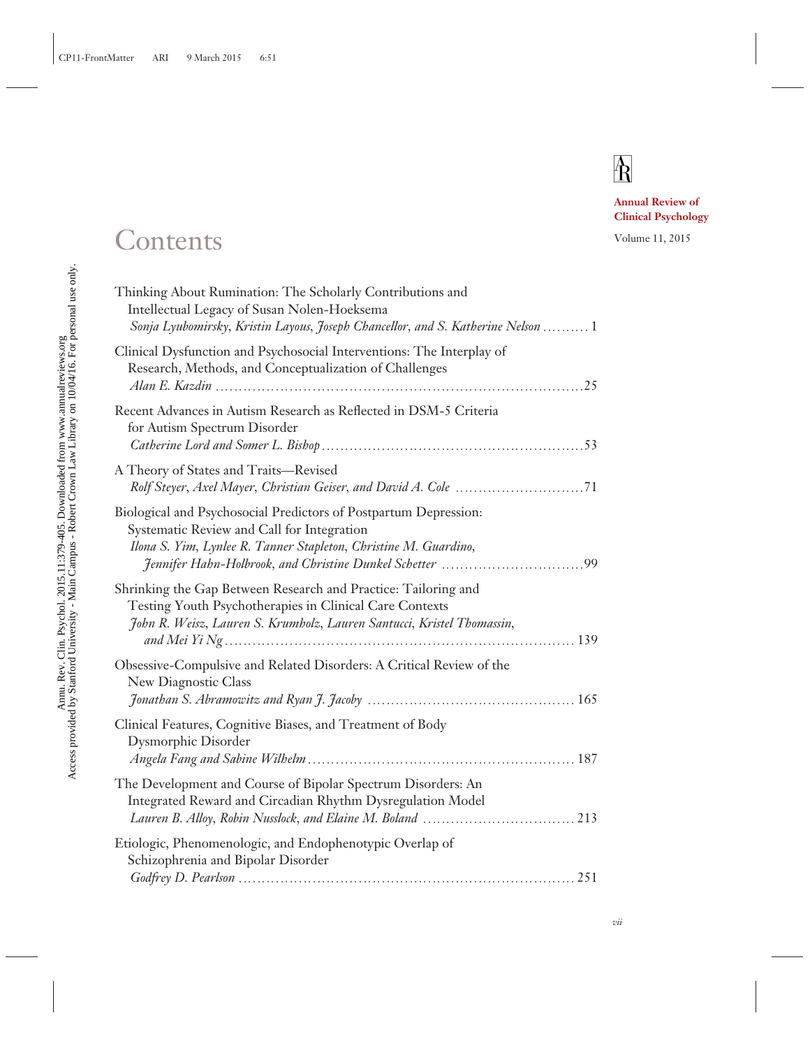# $\mathbf{\overline{R}}$

**Annual Review of Clinical Psychology**

# Contents Volume 11, 2015

| Thinking About Rumination: The Scholarly Contributions and<br>Intellectual Legacy of Susan Nolen-Hoeksema<br>Sonja Lyubomirsky, Kristin Layous, Joseph Chancellor, and S. Katherine Nelson  1       |
|-----------------------------------------------------------------------------------------------------------------------------------------------------------------------------------------------------|
| Clinical Dysfunction and Psychosocial Interventions: The Interplay of<br>Research, Methods, and Conceptualization of Challenges                                                                     |
| Recent Advances in Autism Research as Reflected in DSM-5 Criteria<br>for Autism Spectrum Disorder                                                                                                   |
| A Theory of States and Traits-Revised                                                                                                                                                               |
| Biological and Psychosocial Predictors of Postpartum Depression:<br>Systematic Review and Call for Integration<br>Ilona S. Yim, Lynlee R. Tanner Stapleton, Christine M. Guardino,                  |
| Shrinking the Gap Between Research and Practice: Tailoring and<br>Testing Youth Psychotherapies in Clinical Care Contexts<br>John R. Weisz, Lauren S. Krumholz, Lauren Santucci, Kristel Thomassin, |
| Obsessive-Compulsive and Related Disorders: A Critical Review of the<br>New Diagnostic Class                                                                                                        |
| Clinical Features, Cognitive Biases, and Treatment of Body<br>Dysmorphic Disorder                                                                                                                   |
| The Development and Course of Bipolar Spectrum Disorders: An<br>Integrated Reward and Circadian Rhythm Dysregulation Model                                                                          |
| Etiologic, Phenomenologic, and Endophenotypic Overlap of<br>Schizophrenia and Bipolar Disorder                                                                                                      |